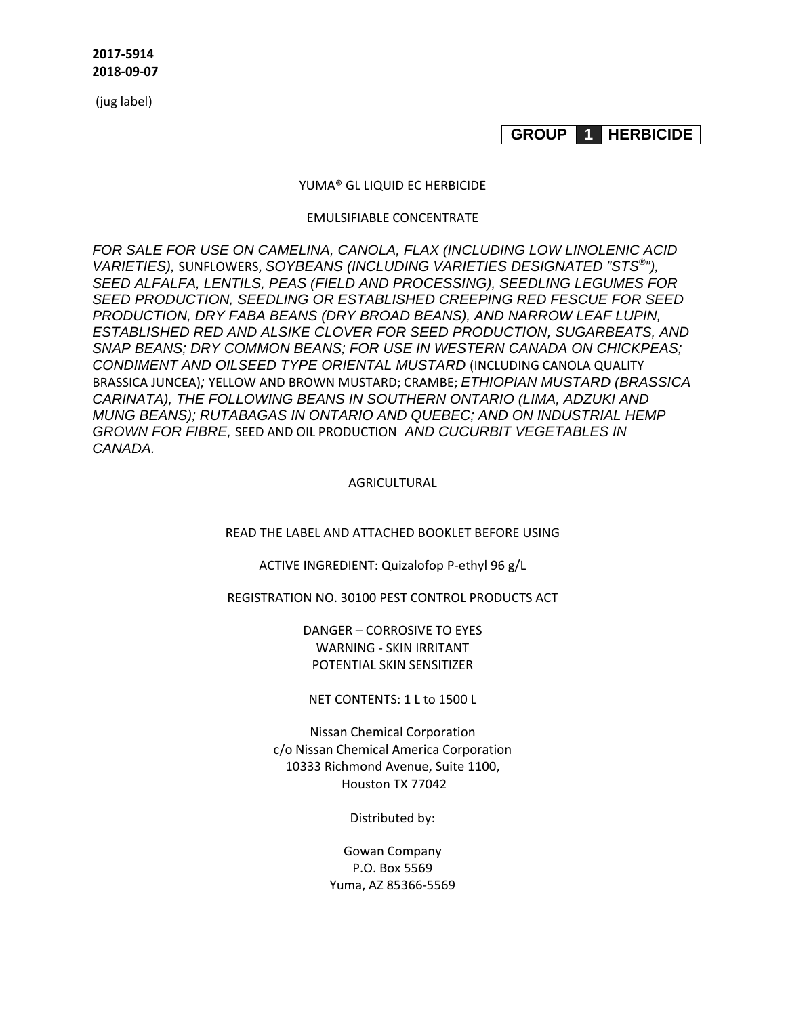(jug label)

**GROUP 1 HERBICIDE** 

#### YUMA® GL LIQUID EC HERBICIDE

#### EMULSIFIABLE CONCENTRATE

*FOR SALE FOR USE ON CAMELINA, CANOLA, FLAX (INCLUDING LOW LINOLENIC ACID VARIETIES),* SUNFLOWERS, *SOYBEANS (INCLUDING VARIETIES DESIGNATED "STS®"), SEED ALFALFA, LENTILS, PEAS (FIELD AND PROCESSING), SEEDLING LEGUMES FOR SEED PRODUCTION, SEEDLING OR ESTABLISHED CREEPING RED FESCUE FOR SEED PRODUCTION, DRY FABA BEANS (DRY BROAD BEANS), AND NARROW LEAF LUPIN, ESTABLISHED RED AND ALSIKE CLOVER FOR SEED PRODUCTION, SUGARBEATS, AND SNAP BEANS; DRY COMMON BEANS; FOR USE IN WESTERN CANADA ON CHICKPEAS; CONDIMENT AND OILSEED TYPE ORIENTAL MUSTARD* (INCLUDING CANOLA QUALITY BRASSICA JUNCEA)*;* YELLOW AND BROWN MUSTARD; CRAMBE; *ETHIOPIAN MUSTARD (BRASSICA CARINATA), THE FOLLOWING BEANS IN SOUTHERN ONTARIO (LIMA, ADZUKI AND MUNG BEANS); RUTABAGAS IN ONTARIO AND QUEBEC; AND ON INDUSTRIAL HEMP GROWN FOR FIBRE,* SEED AND OIL PRODUCTION *AND CUCURBIT VEGETABLES IN CANADA.* 

#### AGRICULTURAL

#### READ THE LABEL AND ATTACHED BOOKLET BEFORE USING

ACTIVE INGREDIENT: Quizalofop P‐ethyl 96 g/L

REGISTRATION NO. 30100 PEST CONTROL PRODUCTS ACT

DANGER – CORROSIVE TO EYES WARNING ‐ SKIN IRRITANT POTENTIAL SKIN SENSITIZER

NET CONTENTS: 1 L to 1500 L

Nissan Chemical Corporation c/o Nissan Chemical America Corporation 10333 Richmond Avenue, Suite 1100, Houston TX 77042

Distributed by:

Gowan Company P.O. Box 5569 Yuma, AZ 85366‐5569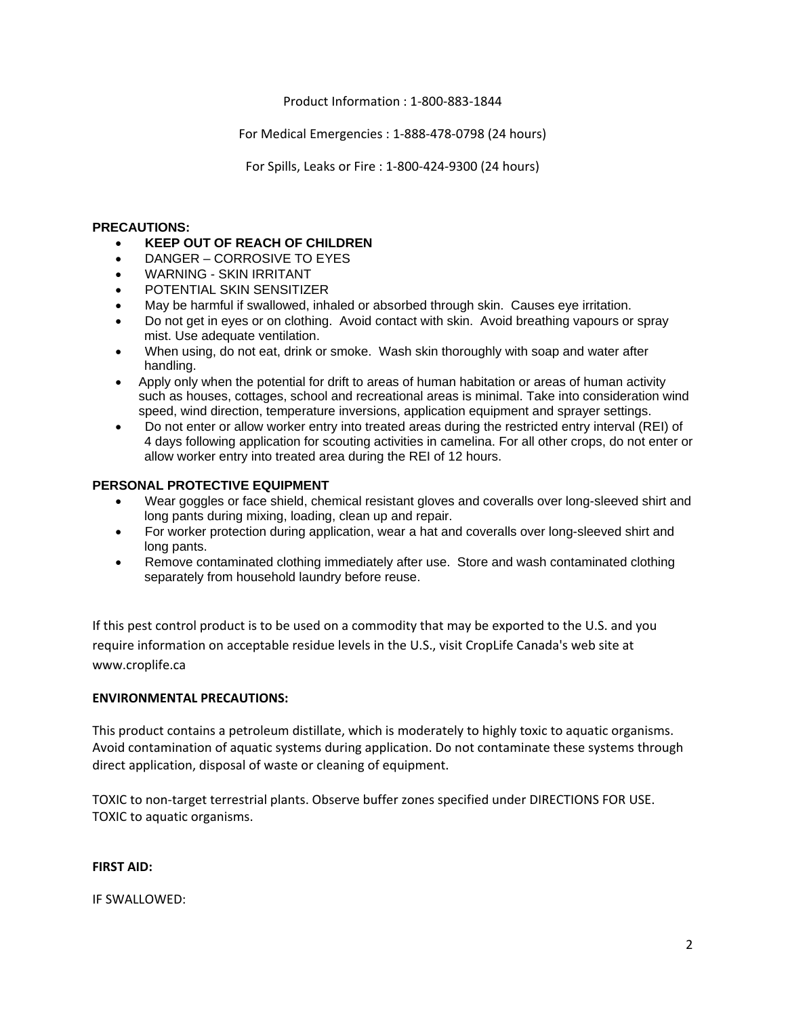Product Information : 1‐800‐883‐1844

For Medical Emergencies : 1‐888‐478‐0798 (24 hours)

For Spills, Leaks or Fire : 1‐800‐424‐9300 (24 hours)

## **PRECAUTIONS:**

- **KEEP OUT OF REACH OF CHILDREN**
- DANGER CORROSIVE TO EYES
- WARNING SKIN IRRITANT
- POTENTIAL SKIN SENSITIZER
- May be harmful if swallowed, inhaled or absorbed through skin. Causes eye irritation.
- Do not get in eyes or on clothing. Avoid contact with skin. Avoid breathing vapours or spray mist. Use adequate ventilation.
- When using, do not eat, drink or smoke. Wash skin thoroughly with soap and water after handling.
- Apply only when the potential for drift to areas of human habitation or areas of human activity such as houses, cottages, school and recreational areas is minimal. Take into consideration wind speed, wind direction, temperature inversions, application equipment and sprayer settings.
- Do not enter or allow worker entry into treated areas during the restricted entry interval (REI) of 4 days following application for scouting activities in camelina. For all other crops, do not enter or allow worker entry into treated area during the REI of 12 hours.

## **PERSONAL PROTECTIVE EQUIPMENT**

- Wear goggles or face shield, chemical resistant gloves and coveralls over long-sleeved shirt and long pants during mixing, loading, clean up and repair.
- For worker protection during application, wear a hat and coveralls over long-sleeved shirt and long pants.
- Remove contaminated clothing immediately after use. Store and wash contaminated clothing separately from household laundry before reuse.

If this pest control product is to be used on a commodity that may be exported to the U.S. and you require information on acceptable residue levels in the U.S., visit CropLife Canada's web site at www.croplife.ca

## **ENVIRONMENTAL PRECAUTIONS:**

This product contains a petroleum distillate, which is moderately to highly toxic to aquatic organisms. Avoid contamination of aquatic systems during application. Do not contaminate these systems through direct application, disposal of waste or cleaning of equipment.

TOXIC to non‐target terrestrial plants. Observe buffer zones specified under DIRECTIONS FOR USE. TOXIC to aquatic organisms.

#### **FIRST AID:**

IF SWALLOWED: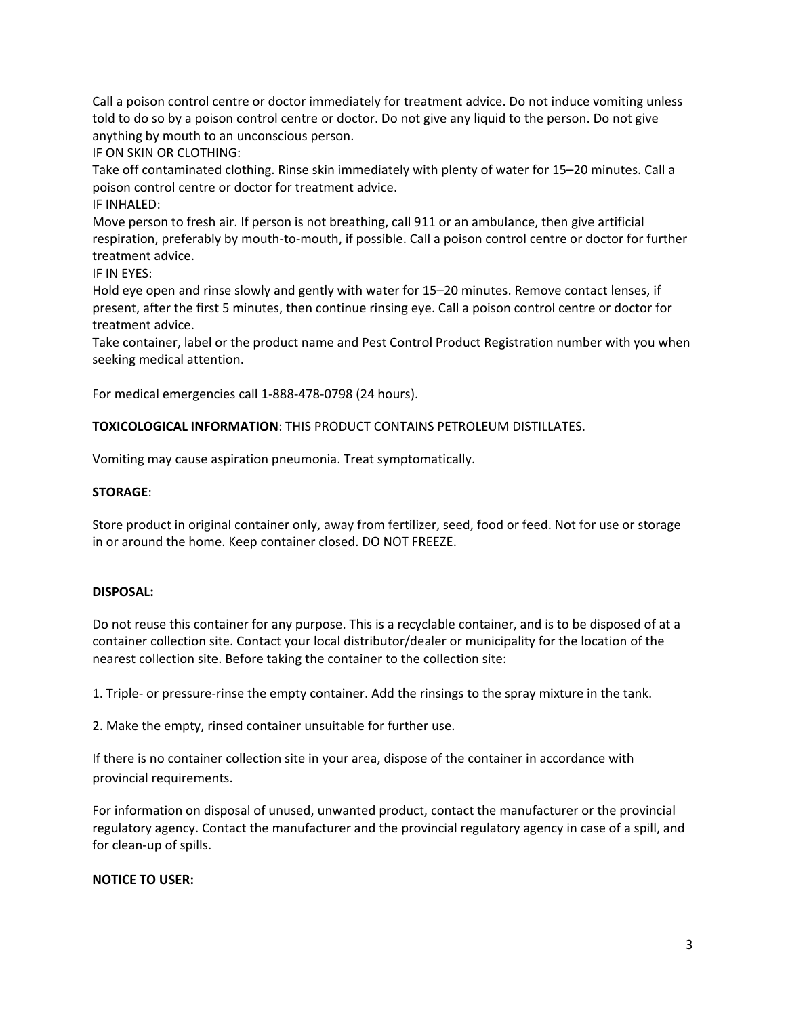Call a poison control centre or doctor immediately for treatment advice. Do not induce vomiting unless told to do so by a poison control centre or doctor. Do not give any liquid to the person. Do not give anything by mouth to an unconscious person.

IF ON SKIN OR CLOTHING:

Take off contaminated clothing. Rinse skin immediately with plenty of water for 15–20 minutes. Call a poison control centre or doctor for treatment advice.

IF INHALED:

Move person to fresh air. If person is not breathing, call 911 or an ambulance, then give artificial respiration, preferably by mouth‐to‐mouth, if possible. Call a poison control centre or doctor for further treatment advice.

IF IN EYES:

Hold eye open and rinse slowly and gently with water for 15–20 minutes. Remove contact lenses, if present, after the first 5 minutes, then continue rinsing eye. Call a poison control centre or doctor for treatment advice.

Take container, label or the product name and Pest Control Product Registration number with you when seeking medical attention.

For medical emergencies call 1‐888‐478‐0798 (24 hours).

## **TOXICOLOGICAL INFORMATION**: THIS PRODUCT CONTAINS PETROLEUM DISTILLATES.

Vomiting may cause aspiration pneumonia. Treat symptomatically.

## **STORAGE**:

Store product in original container only, away from fertilizer, seed, food or feed. Not for use or storage in or around the home. Keep container closed. DO NOT FREEZE.

## **DISPOSAL:**

Do not reuse this container for any purpose. This is a recyclable container, and is to be disposed of at a container collection site. Contact your local distributor/dealer or municipality for the location of the nearest collection site. Before taking the container to the collection site:

1. Triple‐ or pressure‐rinse the empty container. Add the rinsings to the spray mixture in the tank.

2. Make the empty, rinsed container unsuitable for further use.

If there is no container collection site in your area, dispose of the container in accordance with provincial requirements.

For information on disposal of unused, unwanted product, contact the manufacturer or the provincial regulatory agency. Contact the manufacturer and the provincial regulatory agency in case of a spill, and for clean‐up of spills.

## **NOTICE TO USER:**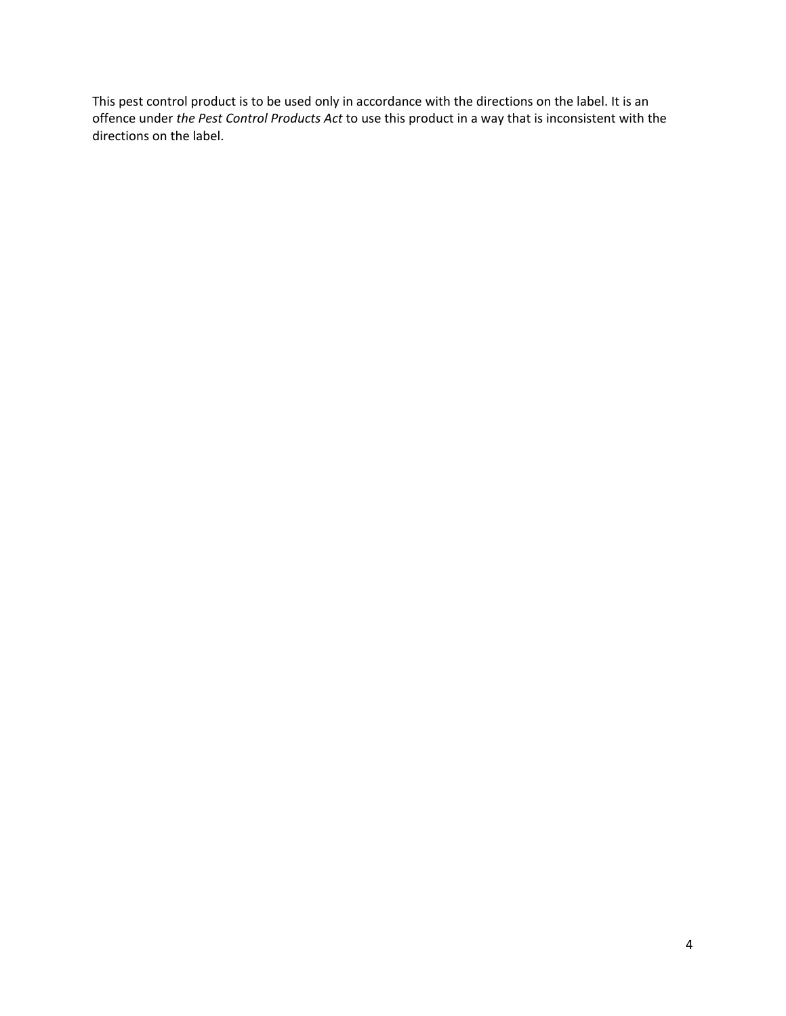This pest control product is to be used only in accordance with the directions on the label. It is an offence under *the Pest Control Products Act* to use this product in a way that is inconsistent with the directions on the label.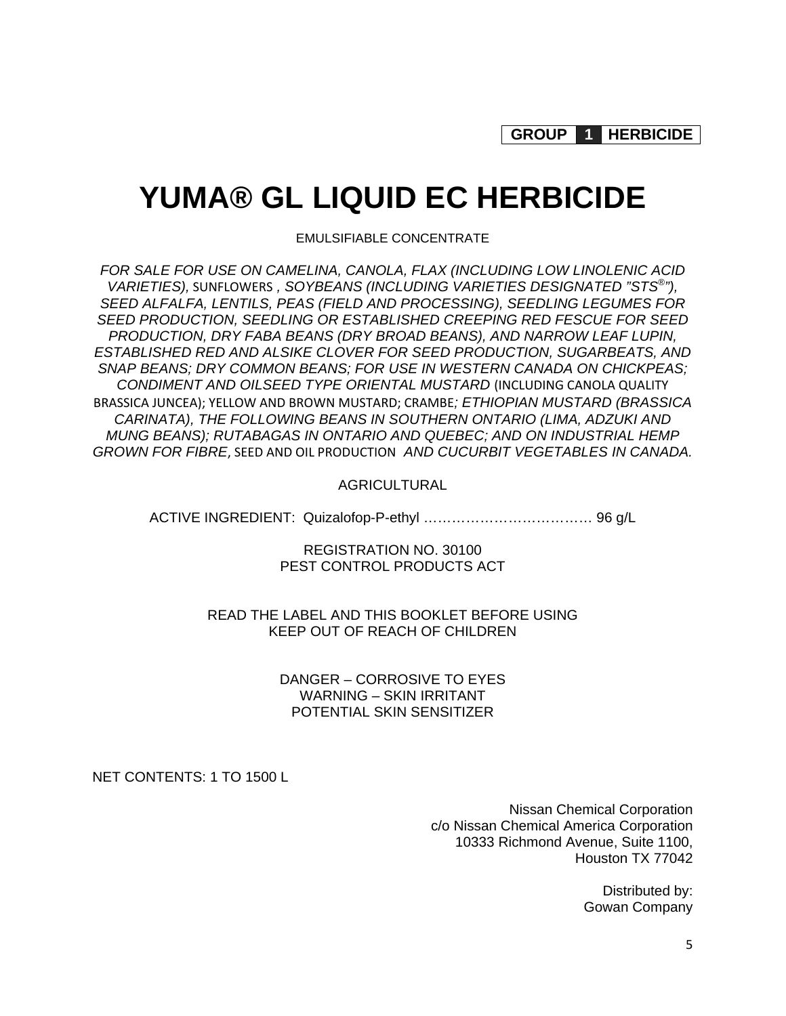**GROUP 1 HERBICIDE** 

# **YUMA® GL LIQUID EC HERBICIDE**

EMULSIFIABLE CONCENTRATE

*FOR SALE FOR USE ON CAMELINA, CANOLA, FLAX (INCLUDING LOW LINOLENIC ACID VARIETIES),* SUNFLOWERS *, SOYBEANS (INCLUDING VARIETIES DESIGNATED "STS®"), SEED ALFALFA, LENTILS, PEAS (FIELD AND PROCESSING), SEEDLING LEGUMES FOR SEED PRODUCTION, SEEDLING OR ESTABLISHED CREEPING RED FESCUE FOR SEED PRODUCTION, DRY FABA BEANS (DRY BROAD BEANS), AND NARROW LEAF LUPIN, ESTABLISHED RED AND ALSIKE CLOVER FOR SEED PRODUCTION, SUGARBEATS, AND SNAP BEANS; DRY COMMON BEANS; FOR USE IN WESTERN CANADA ON CHICKPEAS; CONDIMENT AND OILSEED TYPE ORIENTAL MUSTARD* (INCLUDING CANOLA QUALITY BRASSICA JUNCEA); YELLOW AND BROWN MUSTARD; CRAMBE*; ETHIOPIAN MUSTARD (BRASSICA CARINATA), THE FOLLOWING BEANS IN SOUTHERN ONTARIO (LIMA, ADZUKI AND MUNG BEANS); RUTABAGAS IN ONTARIO AND QUEBEC; AND ON INDUSTRIAL HEMP GROWN FOR FIBRE*, SEED AND OIL PRODUCTION *AND CUCURBIT VEGETABLES IN CANADA.* 

AGRICULTURAL

ACTIVE INGREDIENT: Quizalofop-P-ethyl ……………………………… 96 g/L

REGISTRATION NO. 30100 PEST CONTROL PRODUCTS ACT

READ THE LABEL AND THIS BOOKLET BEFORE USING KEEP OUT OF REACH OF CHILDREN

> DANGER – CORROSIVE TO EYES WARNING – SKIN IRRITANT POTENTIAL SKIN SENSITIZER

NET CONTENTS: 1 TO 1500 L

Nissan Chemical Corporation c/o Nissan Chemical America Corporation 10333 Richmond Avenue, Suite 1100, Houston TX 77042

> Distributed by: Gowan Company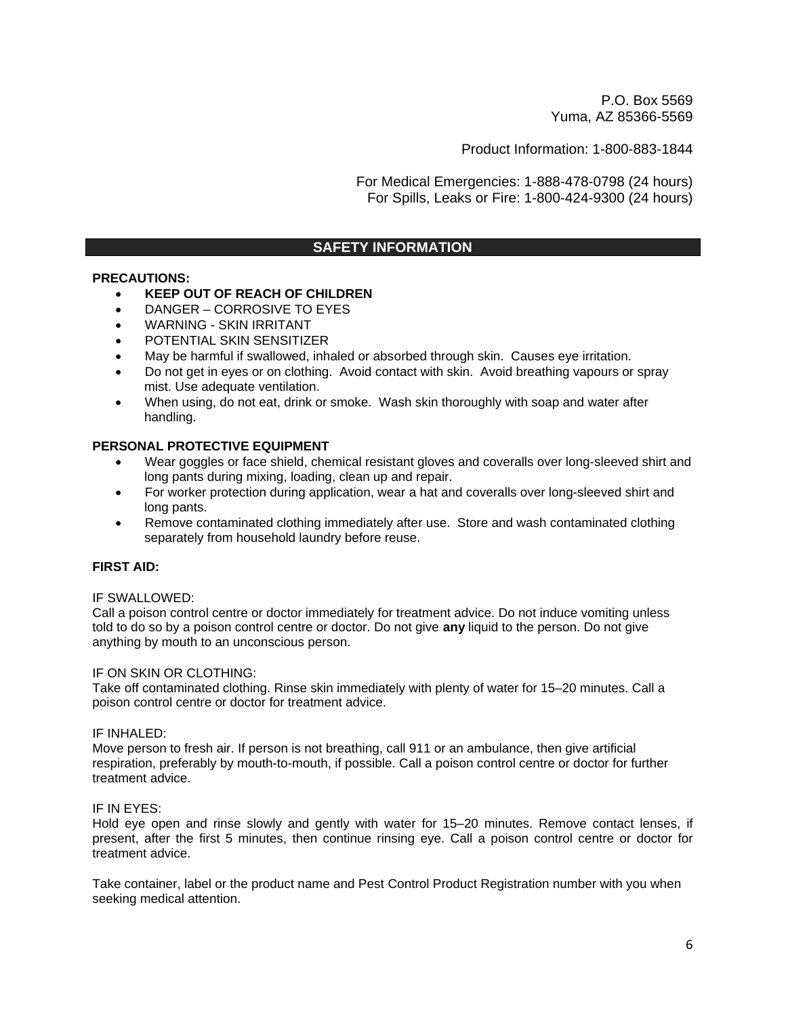P.O. Box 5569 Yuma, AZ 85366-5569

Product Information: 1-800-883-1844

For Medical Emergencies: 1-888-478-0798 (24 hours) For Spills, Leaks or Fire: 1-800-424-9300 (24 hours)

## **SAFETY INFORMATION**

#### **PRECAUTIONS:**

- **KEEP OUT OF REACH OF CHILDREN**
- DANGER CORROSIVE TO EYES
- WARNING SKIN IRRITANT
- POTENTIAL SKIN SENSITIZER
- May be harmful if swallowed, inhaled or absorbed through skin. Causes eye irritation.
- Do not get in eyes or on clothing. Avoid contact with skin. Avoid breathing vapours or spray mist. Use adequate ventilation.
- When using, do not eat, drink or smoke. Wash skin thoroughly with soap and water after handling.

#### **PERSONAL PROTECTIVE EQUIPMENT**

- Wear goggles or face shield, chemical resistant gloves and coveralls over long-sleeved shirt and long pants during mixing, loading, clean up and repair.
- For worker protection during application, wear a hat and coveralls over long-sleeved shirt and long pants.
- Remove contaminated clothing immediately after use. Store and wash contaminated clothing separately from household laundry before reuse.

## **FIRST AID:**

#### IF SWALLOWED:

Call a poison control centre or doctor immediately for treatment advice. Do not induce vomiting unless told to do so by a poison control centre or doctor. Do not give **any** liquid to the person. Do not give anything by mouth to an unconscious person.

#### IF ON SKIN OR CLOTHING:

Take off contaminated clothing. Rinse skin immediately with plenty of water for 15–20 minutes. Call a poison control centre or doctor for treatment advice.

#### IF INHALED:

Move person to fresh air. If person is not breathing, call 911 or an ambulance, then give artificial respiration, preferably by mouth-to-mouth, if possible. Call a poison control centre or doctor for further treatment advice.

#### IF IN EYES:

Hold eye open and rinse slowly and gently with water for 15–20 minutes. Remove contact lenses, if present, after the first 5 minutes, then continue rinsing eye. Call a poison control centre or doctor for treatment advice.

Take container, label or the product name and Pest Control Product Registration number with you when seeking medical attention.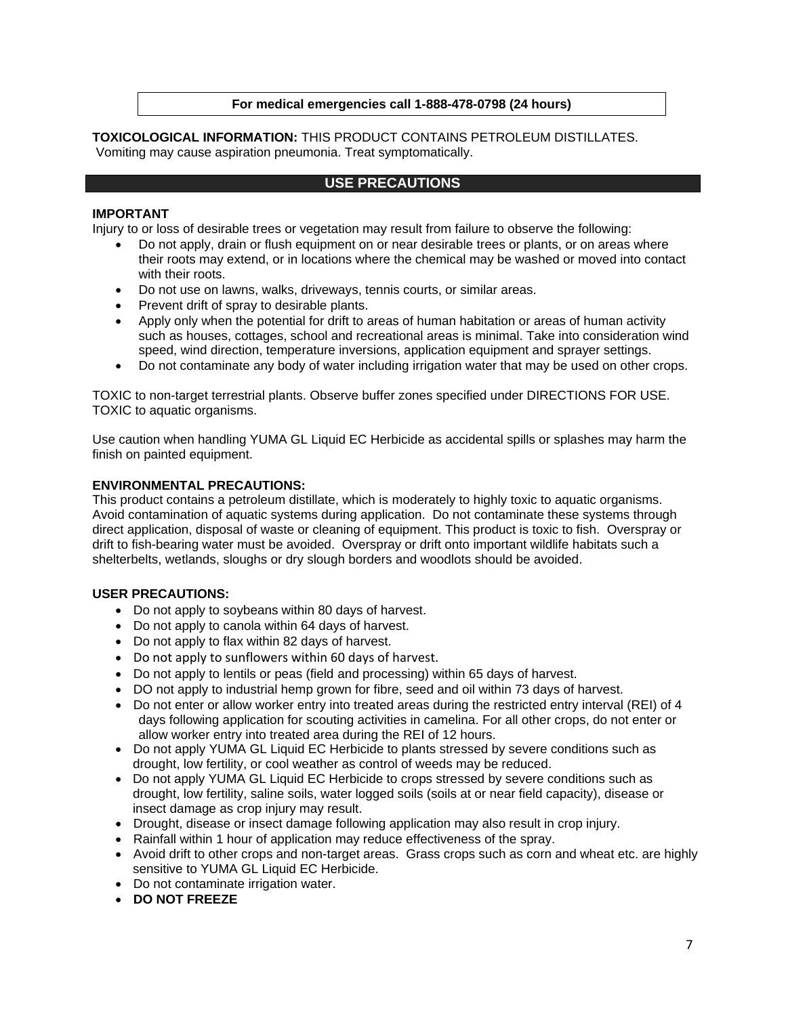## **For medical emergencies call 1-888-478-0798 (24 hours)**

**TOXICOLOGICAL INFORMATION:** THIS PRODUCT CONTAINS PETROLEUM DISTILLATES. Vomiting may cause aspiration pneumonia. Treat symptomatically.

# **USE PRECAUTIONS**

### **IMPORTANT**

Injury to or loss of desirable trees or vegetation may result from failure to observe the following:

- Do not apply, drain or flush equipment on or near desirable trees or plants, or on areas where their roots may extend, or in locations where the chemical may be washed or moved into contact with their roots.
- Do not use on lawns, walks, driveways, tennis courts, or similar areas.
- Prevent drift of spray to desirable plants.
- Apply only when the potential for drift to areas of human habitation or areas of human activity such as houses, cottages, school and recreational areas is minimal. Take into consideration wind speed, wind direction, temperature inversions, application equipment and sprayer settings.
- Do not contaminate any body of water including irrigation water that may be used on other crops.

TOXIC to non-target terrestrial plants. Observe buffer zones specified under DIRECTIONS FOR USE. TOXIC to aquatic organisms.

Use caution when handling YUMA GL Liquid EC Herbicide as accidental spills or splashes may harm the finish on painted equipment.

#### **ENVIRONMENTAL PRECAUTIONS:**

This product contains a petroleum distillate, which is moderately to highly toxic to aquatic organisms. Avoid contamination of aquatic systems during application. Do not contaminate these systems through direct application, disposal of waste or cleaning of equipment. This product is toxic to fish. Overspray or drift to fish-bearing water must be avoided. Overspray or drift onto important wildlife habitats such a shelterbelts, wetlands, sloughs or dry slough borders and woodlots should be avoided.

#### **USER PRECAUTIONS:**

- Do not apply to soybeans within 80 days of harvest.
- Do not apply to canola within 64 days of harvest.
- Do not apply to flax within 82 days of harvest.
- Do not apply to sunflowers within 60 days of harvest.
- Do not apply to lentils or peas (field and processing) within 65 days of harvest.
- DO not apply to industrial hemp grown for fibre, seed and oil within 73 days of harvest.
- Do not enter or allow worker entry into treated areas during the restricted entry interval (REI) of 4 days following application for scouting activities in camelina. For all other crops, do not enter or allow worker entry into treated area during the REI of 12 hours.
- Do not apply YUMA GL Liquid EC Herbicide to plants stressed by severe conditions such as drought, low fertility, or cool weather as control of weeds may be reduced.
- Do not apply YUMA GL Liquid EC Herbicide to crops stressed by severe conditions such as drought, low fertility, saline soils, water logged soils (soils at or near field capacity), disease or insect damage as crop injury may result.
- Drought, disease or insect damage following application may also result in crop injury.
- Rainfall within 1 hour of application may reduce effectiveness of the spray.
- Avoid drift to other crops and non-target areas. Grass crops such as corn and wheat etc. are highly sensitive to YUMA GL Liquid EC Herbicide.
- Do not contaminate irrigation water.
- **DO NOT FREEZE**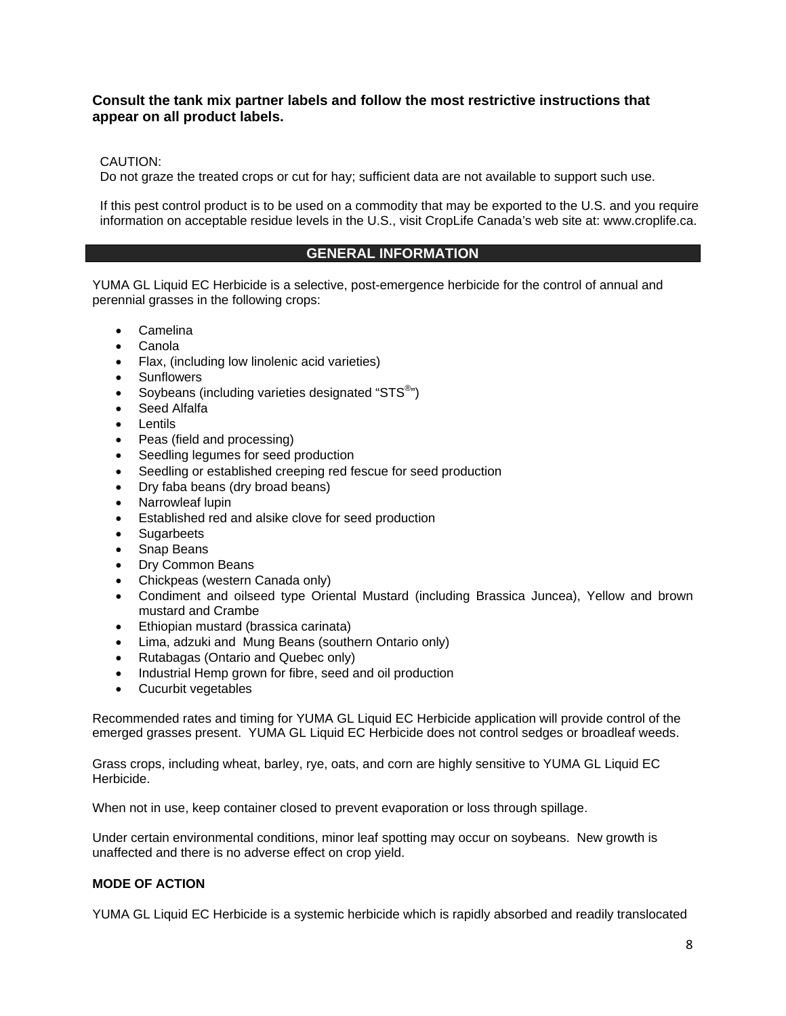## **Consult the tank mix partner labels and follow the most restrictive instructions that appear on all product labels.**

## CAUTION:

Do not graze the treated crops or cut for hay; sufficient data are not available to support such use.

If this pest control product is to be used on a commodity that may be exported to the U.S. and you require information on acceptable residue levels in the U.S., visit CropLife Canada's web site at: www.croplife.ca.

## **GENERAL INFORMATION**

YUMA GL Liquid EC Herbicide is a selective, post-emergence herbicide for the control of annual and perennial grasses in the following crops:

- Camelina
- Canola
- Flax, (including low linolenic acid varieties)
- Sunflowers
- Soybeans (including varieties designated "STS<sup>®</sup>")
- Seed Alfalfa
- Lentils
- Peas (field and processing)
- Seedling legumes for seed production
- Seedling or established creeping red fescue for seed production
- Dry faba beans (dry broad beans)
- Narrowleaf lupin
- Established red and alsike clove for seed production
- Sugarbeets
- Snap Beans
- Dry Common Beans
- Chickpeas (western Canada only)
- Condiment and oilseed type Oriental Mustard (including Brassica Juncea), Yellow and brown mustard and Crambe
- Ethiopian mustard (brassica carinata)
- Lima, adzuki and Mung Beans (southern Ontario only)
- Rutabagas (Ontario and Quebec only)
- Industrial Hemp grown for fibre, seed and oil production
- Cucurbit vegetables

Recommended rates and timing for YUMA GL Liquid EC Herbicide application will provide control of the emerged grasses present. YUMA GL Liquid EC Herbicide does not control sedges or broadleaf weeds.

Grass crops, including wheat, barley, rye, oats, and corn are highly sensitive to YUMA GL Liquid EC Herbicide.

When not in use, keep container closed to prevent evaporation or loss through spillage.

Under certain environmental conditions, minor leaf spotting may occur on soybeans. New growth is unaffected and there is no adverse effect on crop yield.

## **MODE OF ACTION**

YUMA GL Liquid EC Herbicide is a systemic herbicide which is rapidly absorbed and readily translocated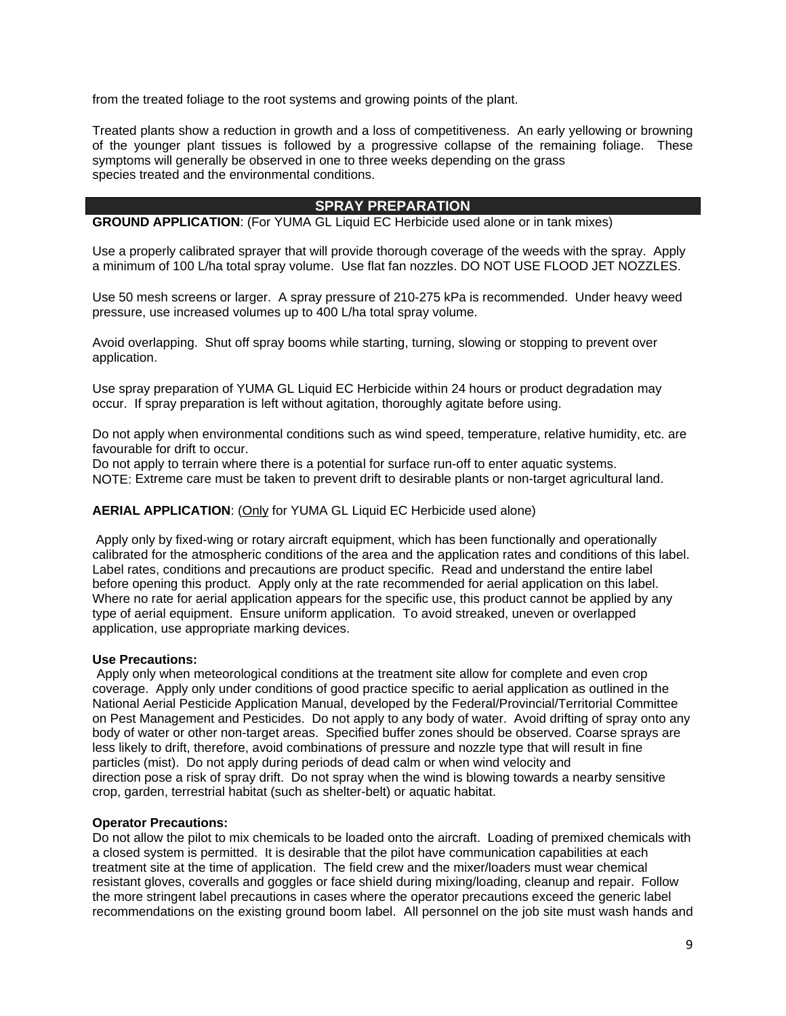from the treated foliage to the root systems and growing points of the plant.

Treated plants show a reduction in growth and a loss of competitiveness. An early yellowing or browning of the younger plant tissues is followed by a progressive collapse of the remaining foliage. These symptoms will generally be observed in one to three weeks depending on the grass species treated and the environmental conditions.

## **SPRAY PREPARATION**

**GROUND APPLICATION**: (For YUMA GL Liquid EC Herbicide used alone or in tank mixes)

Use a properly calibrated sprayer that will provide thorough coverage of the weeds with the spray. Apply a minimum of 100 L/ha total spray volume. Use flat fan nozzles. DO NOT USE FLOOD JET NOZZLES.

Use 50 mesh screens or larger. A spray pressure of 210-275 kPa is recommended. Under heavy weed pressure, use increased volumes up to 400 L/ha total spray volume.

Avoid overlapping. Shut off spray booms while starting, turning, slowing or stopping to prevent over application.

Use spray preparation of YUMA GL Liquid EC Herbicide within 24 hours or product degradation may occur. If spray preparation is left without agitation, thoroughly agitate before using.

Do not apply when environmental conditions such as wind speed, temperature, relative humidity, etc. are favourable for drift to occur.

Do not apply to terrain where there is a potential for surface run-off to enter aquatic systems. NOTE: Extreme care must be taken to prevent drift to desirable plants or non-target agricultural land.

## **AERIAL APPLICATION**: (Only for YUMA GL Liquid EC Herbicide used alone)

Apply only by fixed-wing or rotary aircraft equipment, which has been functionally and operationally calibrated for the atmospheric conditions of the area and the application rates and conditions of this label. Label rates, conditions and precautions are product specific. Read and understand the entire label before opening this product. Apply only at the rate recommended for aerial application on this label. Where no rate for aerial application appears for the specific use, this product cannot be applied by any type of aerial equipment. Ensure uniform application. To avoid streaked, uneven or overlapped application, use appropriate marking devices.

#### **Use Precautions:**

Apply only when meteorological conditions at the treatment site allow for complete and even crop coverage. Apply only under conditions of good practice specific to aerial application as outlined in the National Aerial Pesticide Application Manual, developed by the Federal/Provincial/Territorial Committee on Pest Management and Pesticides. Do not apply to any body of water. Avoid drifting of spray onto any body of water or other non-target areas. Specified buffer zones should be observed. Coarse sprays are less likely to drift, therefore, avoid combinations of pressure and nozzle type that will result in fine particles (mist). Do not apply during periods of dead calm or when wind velocity and direction pose a risk of spray drift. Do not spray when the wind is blowing towards a nearby sensitive crop, garden, terrestrial habitat (such as shelter-belt) or aquatic habitat.

#### **Operator Precautions:**

Do not allow the pilot to mix chemicals to be loaded onto the aircraft. Loading of premixed chemicals with a closed system is permitted. It is desirable that the pilot have communication capabilities at each treatment site at the time of application. The field crew and the mixer/loaders must wear chemical resistant gloves, coveralls and goggles or face shield during mixing/loading, cleanup and repair. Follow the more stringent label precautions in cases where the operator precautions exceed the generic label recommendations on the existing ground boom label. All personnel on the job site must wash hands and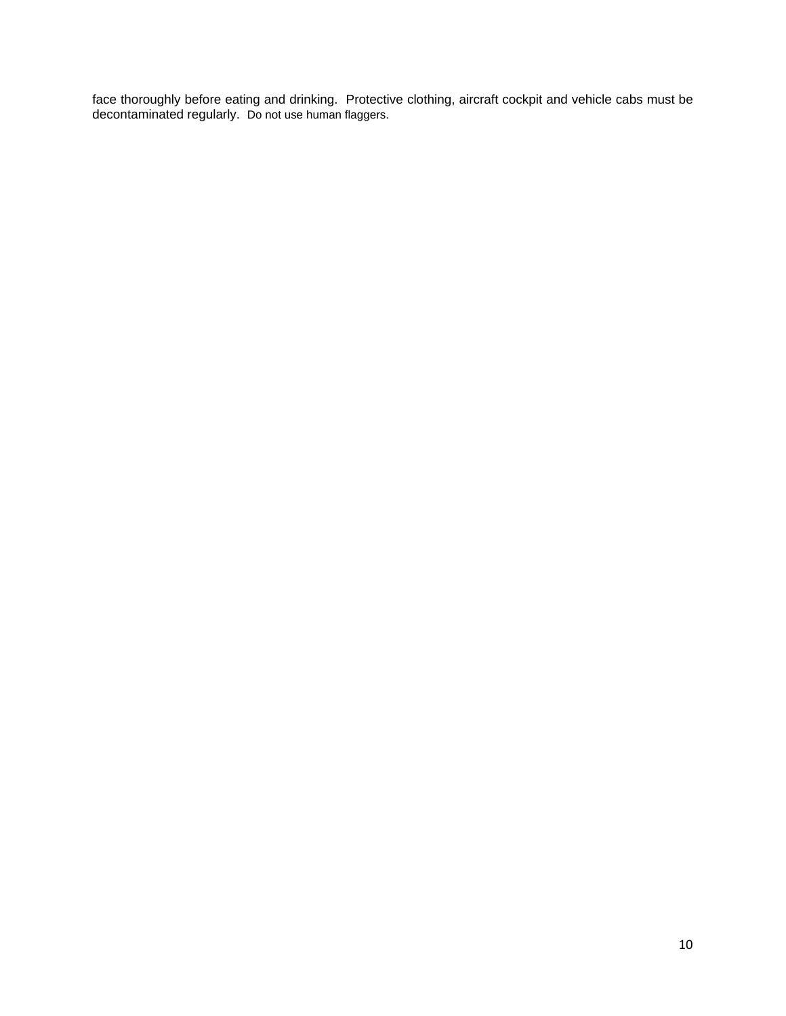face thoroughly before eating and drinking. Protective clothing, aircraft cockpit and vehicle cabs must be decontaminated regularly. Do not use human flaggers.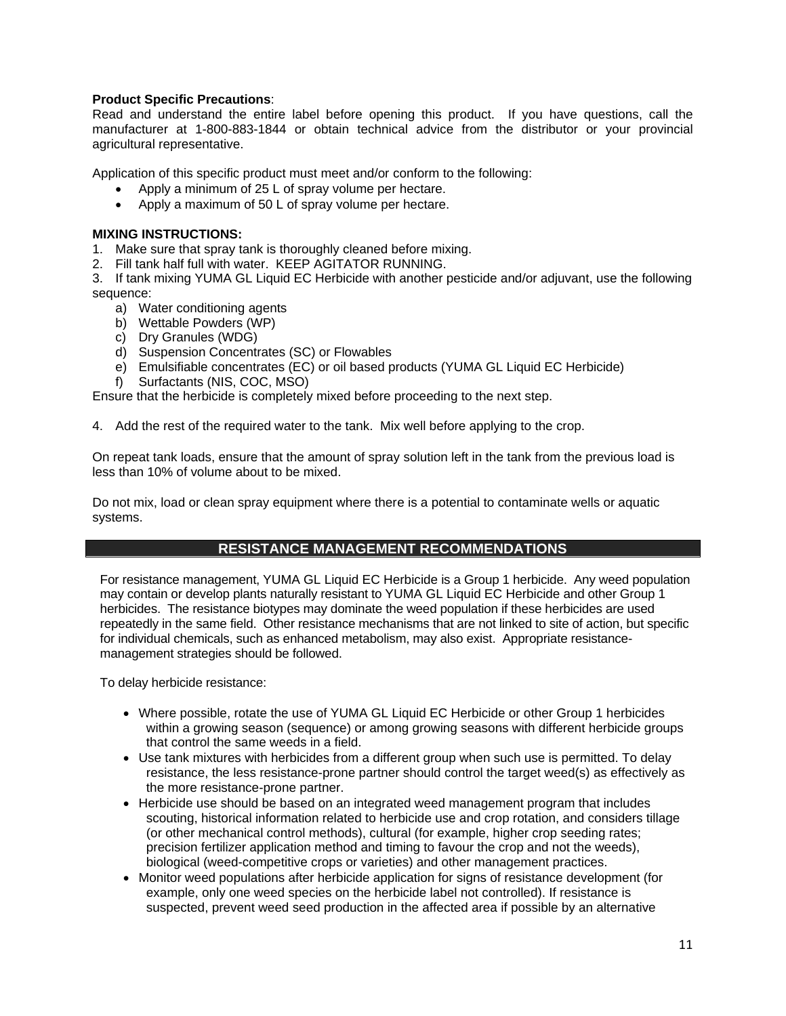## **Product Specific Precautions**:

Read and understand the entire label before opening this product. If you have questions, call the manufacturer at 1-800-883-1844 or obtain technical advice from the distributor or your provincial agricultural representative.

Application of this specific product must meet and/or conform to the following:

- Apply a minimum of 25 L of spray volume per hectare.
- Apply a maximum of 50 L of spray volume per hectare.

## **MIXING INSTRUCTIONS:**

1. Make sure that spray tank is thoroughly cleaned before mixing.

2. Fill tank half full with water. KEEP AGITATOR RUNNING.

3. If tank mixing YUMA GL Liquid EC Herbicide with another pesticide and/or adjuvant, use the following sequence:

- a) Water conditioning agents
- b) Wettable Powders (WP)
- c) Dry Granules (WDG)
- d) Suspension Concentrates (SC) or Flowables
- e) Emulsifiable concentrates (EC) or oil based products (YUMA GL Liquid EC Herbicide)
- f) Surfactants (NIS, COC, MSO)

Ensure that the herbicide is completely mixed before proceeding to the next step.

4. Add the rest of the required water to the tank. Mix well before applying to the crop.

On repeat tank loads, ensure that the amount of spray solution left in the tank from the previous load is less than 10% of volume about to be mixed.

Do not mix, load or clean spray equipment where there is a potential to contaminate wells or aquatic systems.

## **RESISTANCE MANAGEMENT RECOMMENDATIONS**

For resistance management, YUMA GL Liquid EC Herbicide is a Group 1 herbicide. Any weed population may contain or develop plants naturally resistant to YUMA GL Liquid EC Herbicide and other Group 1 herbicides. The resistance biotypes may dominate the weed population if these herbicides are used repeatedly in the same field. Other resistance mechanisms that are not linked to site of action, but specific for individual chemicals, such as enhanced metabolism, may also exist. Appropriate resistancemanagement strategies should be followed.

To delay herbicide resistance:

- Where possible, rotate the use of YUMA GL Liquid EC Herbicide or other Group 1 herbicides within a growing season (sequence) or among growing seasons with different herbicide groups that control the same weeds in a field.
- Use tank mixtures with herbicides from a different group when such use is permitted. To delay resistance, the less resistance-prone partner should control the target weed(s) as effectively as the more resistance-prone partner.
- Herbicide use should be based on an integrated weed management program that includes scouting, historical information related to herbicide use and crop rotation, and considers tillage (or other mechanical control methods), cultural (for example, higher crop seeding rates; precision fertilizer application method and timing to favour the crop and not the weeds), biological (weed-competitive crops or varieties) and other management practices.
- Monitor weed populations after herbicide application for signs of resistance development (for example, only one weed species on the herbicide label not controlled). If resistance is suspected, prevent weed seed production in the affected area if possible by an alternative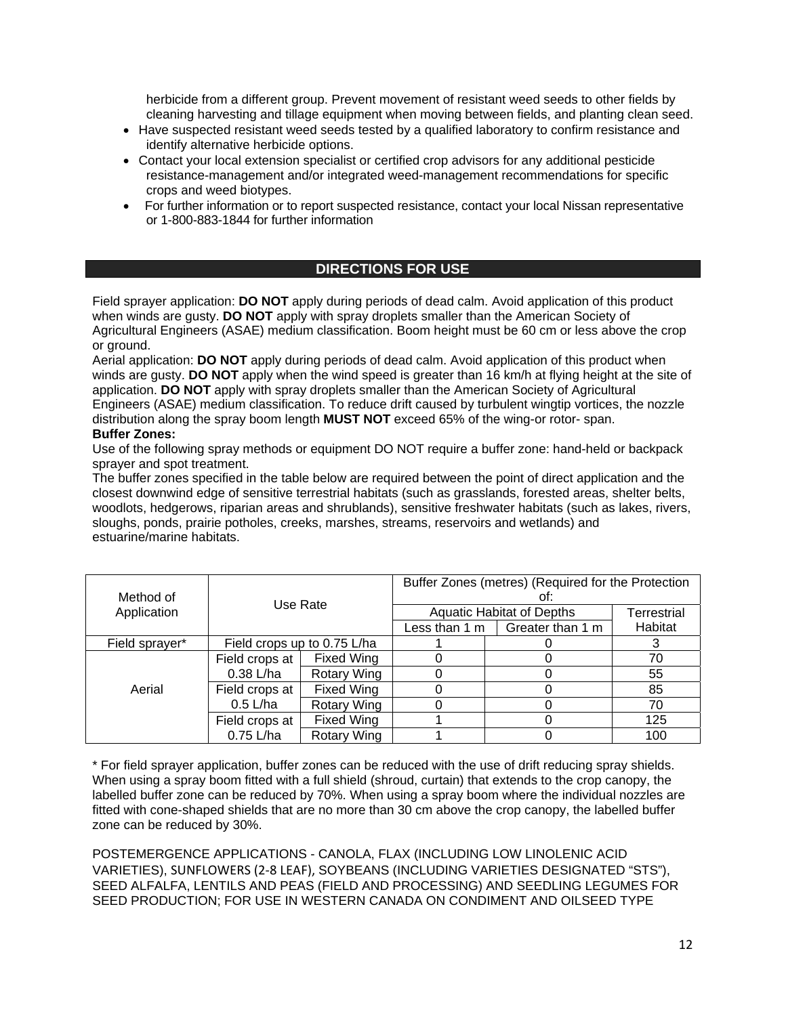herbicide from a different group. Prevent movement of resistant weed seeds to other fields by cleaning harvesting and tillage equipment when moving between fields, and planting clean seed.

- Have suspected resistant weed seeds tested by a qualified laboratory to confirm resistance and identify alternative herbicide options.
- Contact your local extension specialist or certified crop advisors for any additional pesticide resistance-management and/or integrated weed-management recommendations for specific crops and weed biotypes.
- For further information or to report suspected resistance, contact your local Nissan representative or 1-800-883-1844 for further information

# **DIRECTIONS FOR USE**

Field sprayer application: **DO NOT** apply during periods of dead calm. Avoid application of this product when winds are gusty. **DO NOT** apply with spray droplets smaller than the American Society of Agricultural Engineers (ASAE) medium classification. Boom height must be 60 cm or less above the crop or ground.

Aerial application: **DO NOT** apply during periods of dead calm. Avoid application of this product when winds are gusty. **DO NOT** apply when the wind speed is greater than 16 km/h at flying height at the site of application. **DO NOT** apply with spray droplets smaller than the American Society of Agricultural Engineers (ASAE) medium classification. To reduce drift caused by turbulent wingtip vortices, the nozzle distribution along the spray boom length **MUST NOT** exceed 65% of the wing-or rotor- span.

#### **Buffer Zones:**

Use of the following spray methods or equipment DO NOT require a buffer zone: hand-held or backpack sprayer and spot treatment.

The buffer zones specified in the table below are required between the point of direct application and the closest downwind edge of sensitive terrestrial habitats (such as grasslands, forested areas, shelter belts, woodlots, hedgerows, riparian areas and shrublands), sensitive freshwater habitats (such as lakes, rivers, sloughs, ponds, prairie potholes, creeks, marshes, streams, reservoirs and wetlands) and estuarine/marine habitats.

|                |                             |                    | Buffer Zones (metres) (Required for the Protection |                  |             |  |
|----------------|-----------------------------|--------------------|----------------------------------------------------|------------------|-------------|--|
| Method of      | Use Rate                    |                    | ot:                                                |                  |             |  |
| Application    |                             |                    | <b>Aquatic Habitat of Depths</b>                   |                  | Terrestrial |  |
|                |                             |                    | Less than 1 m                                      | Greater than 1 m | Habitat     |  |
| Field sprayer* | Field crops up to 0.75 L/ha |                    |                                                    |                  |             |  |
|                | Field crops at              | <b>Fixed Wing</b>  |                                                    |                  | 70          |  |
|                | $0.38$ L/ha                 | <b>Rotary Wing</b> |                                                    |                  | 55          |  |
| Aerial         | Field crops at              | <b>Fixed Wing</b>  |                                                    |                  | 85          |  |
|                | $0.5$ L/ha                  | <b>Rotary Wing</b> |                                                    |                  | 70          |  |
|                | Field crops at              | Fixed Wing         |                                                    |                  | 125         |  |
|                | 0.75 L/ha                   | <b>Rotary Wing</b> |                                                    |                  | 100         |  |

\* For field sprayer application, buffer zones can be reduced with the use of drift reducing spray shields. When using a spray boom fitted with a full shield (shroud, curtain) that extends to the crop canopy, the labelled buffer zone can be reduced by 70%. When using a spray boom where the individual nozzles are fitted with cone-shaped shields that are no more than 30 cm above the crop canopy, the labelled buffer zone can be reduced by 30%.

POSTEMERGENCE APPLICATIONS - CANOLA, FLAX (INCLUDING LOW LINOLENIC ACID VARIETIES), SUNFLOWERS (2‐8 LEAF), SOYBEANS (INCLUDING VARIETIES DESIGNATED "STS"), SEED ALFALFA, LENTILS AND PEAS (FIELD AND PROCESSING) AND SEEDLING LEGUMES FOR SEED PRODUCTION; FOR USE IN WESTERN CANADA ON CONDIMENT AND OILSEED TYPE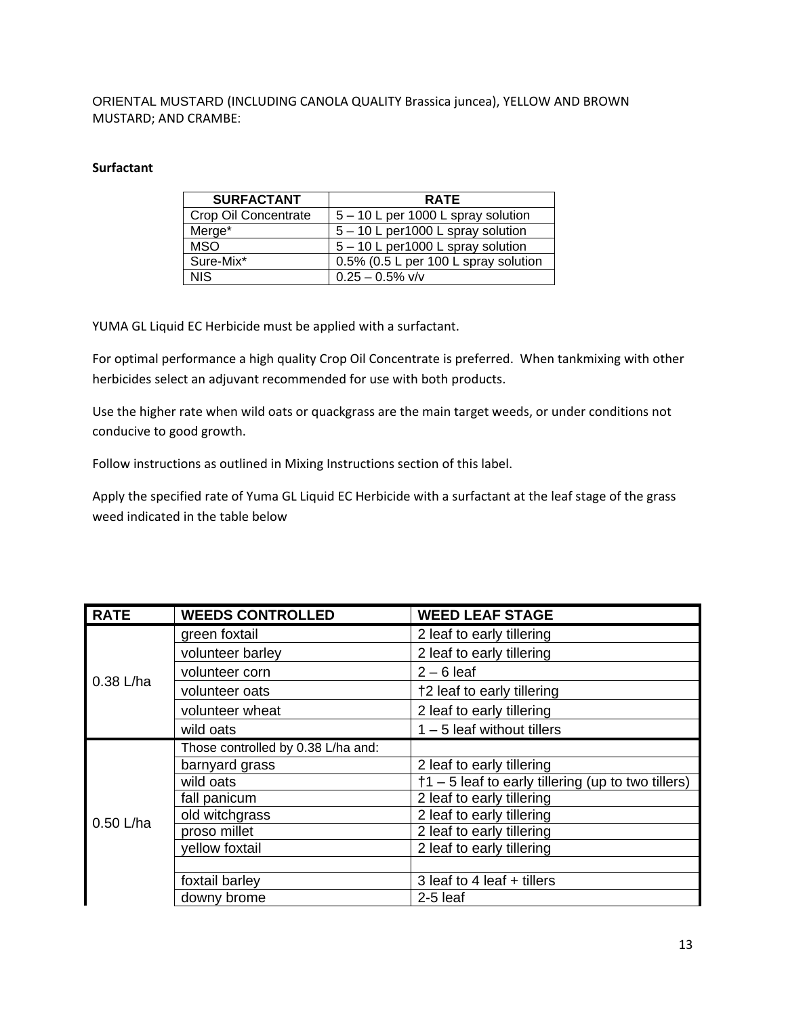ORIENTAL MUSTARD (INCLUDING CANOLA QUALITY Brassica juncea), YELLOW AND BROWN MUSTARD; AND CRAMBE:

## **Surfactant**

| <b>SURFACTANT</b>    | <b>RATE</b>                          |
|----------------------|--------------------------------------|
| Crop Oil Concentrate | $5 - 10$ L per 1000 L spray solution |
| Merge*               | 5 - 10 L per1000 L spray solution    |
| <b>MSO</b>           | 5 - 10 L per1000 L spray solution    |
| Sure-Mix*            | 0.5% (0.5 L per 100 L spray solution |
| NIS.                 | $0.25 - 0.5\%$ v/v                   |

YUMA GL Liquid EC Herbicide must be applied with a surfactant.

For optimal performance a high quality Crop Oil Concentrate is preferred. When tankmixing with other herbicides select an adjuvant recommended for use with both products.

Use the higher rate when wild oats or quackgrass are the main target weeds, or under conditions not conducive to good growth.

Follow instructions as outlined in Mixing Instructions section of this label.

Apply the specified rate of Yuma GL Liquid EC Herbicide with a surfactant at the leaf stage of the grass weed indicated in the table below

| <b>RATE</b> | <b>WEEDS CONTROLLED</b>            | <b>WEED LEAF STAGE</b>                                      |
|-------------|------------------------------------|-------------------------------------------------------------|
|             | green foxtail                      | 2 leaf to early tillering                                   |
|             | volunteer barley                   | 2 leaf to early tillering                                   |
|             | volunteer corn                     | $2 - 6$ leaf                                                |
| 0.38 L/ha   | volunteer oats                     | †2 leaf to early tillering                                  |
|             | volunteer wheat                    | 2 leaf to early tillering                                   |
|             | wild oats                          | $1 - 5$ leaf without tillers                                |
|             | Those controlled by 0.38 L/ha and: |                                                             |
|             | barnyard grass                     | 2 leaf to early tillering                                   |
|             | wild oats                          | $\dagger$ 1 – 5 leaf to early tillering (up to two tillers) |
|             | fall panicum                       | 2 leaf to early tillering                                   |
|             | old witchgrass                     | 2 leaf to early tillering                                   |
| 0.50 L/ha   | proso millet                       | 2 leaf to early tillering                                   |
|             | yellow foxtail                     | 2 leaf to early tillering                                   |
|             |                                    |                                                             |
|             | foxtail barley                     | 3 leaf to 4 leaf + tillers                                  |
|             | downy brome                        | $2-5$ leaf                                                  |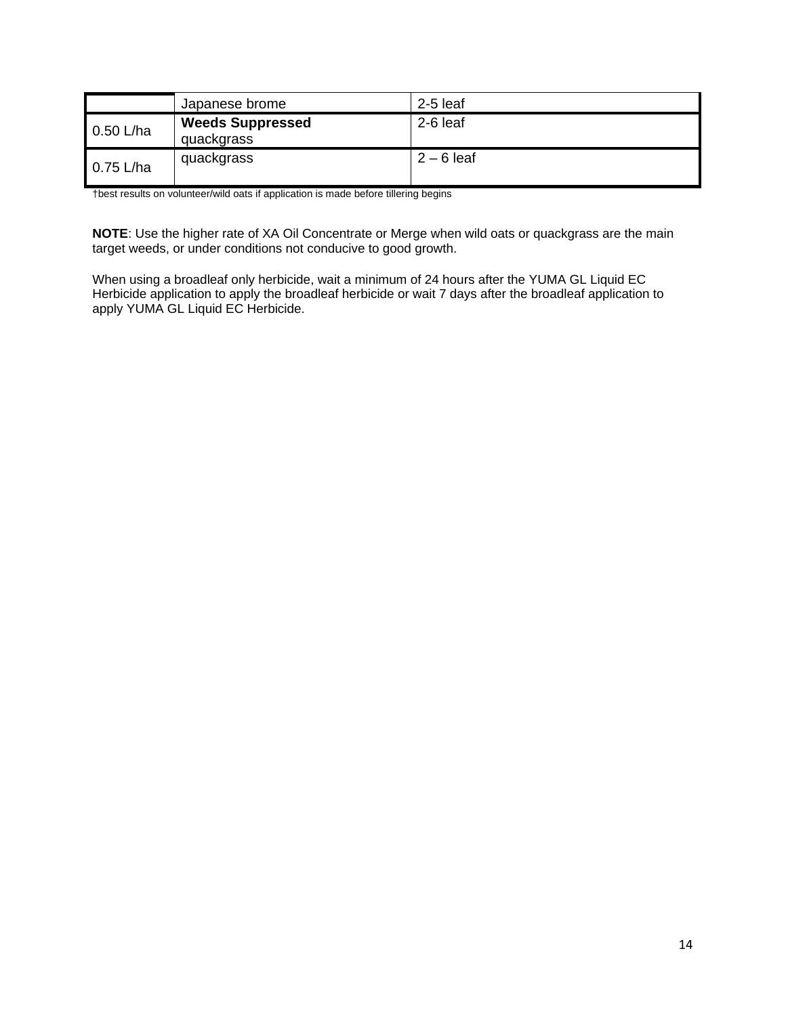|             | Japanese brome                        | $2-5$ leaf   |
|-------------|---------------------------------------|--------------|
| $0.50$ L/ha | <b>Weeds Suppressed</b><br>quackgrass | $2-6$ leaf   |
| $0.75$ L/ha | quackgrass                            | $2 - 6$ leaf |

†best results on volunteer/wild oats if application is made before tillering begins

**NOTE**: Use the higher rate of XA Oil Concentrate or Merge when wild oats or quackgrass are the main target weeds, or under conditions not conducive to good growth.

When using a broadleaf only herbicide, wait a minimum of 24 hours after the YUMA GL Liquid EC Herbicide application to apply the broadleaf herbicide or wait 7 days after the broadleaf application to apply YUMA GL Liquid EC Herbicide.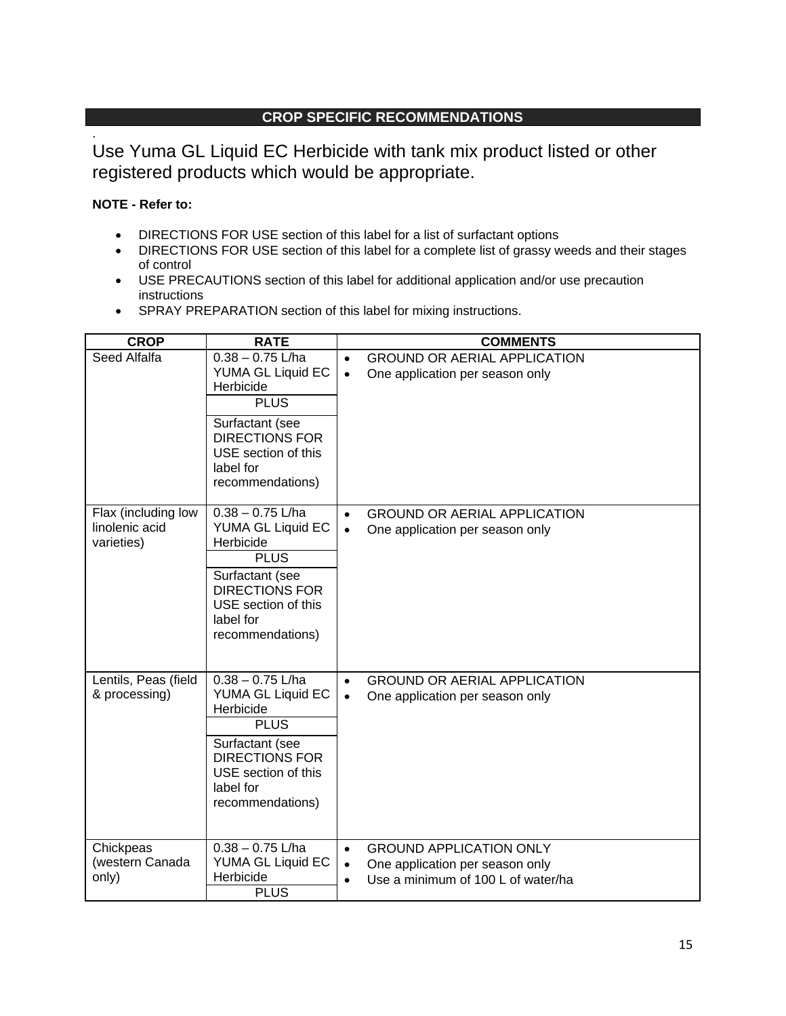# **CROP SPECIFIC RECOMMENDATIONS**

Use Yuma GL Liquid EC Herbicide with tank mix product listed or other registered products which would be appropriate.

# **NOTE - Refer to:**

.

- DIRECTIONS FOR USE section of this label for a list of surfactant options
- DIRECTIONS FOR USE section of this label for a complete list of grassy weeds and their stages of control
- USE PRECAUTIONS section of this label for additional application and/or use precaution instructions
- SPRAY PREPARATION section of this label for mixing instructions.

| <b>CROP</b>                                         | <b>RATE</b>                                                                                                                                         |                                     | <b>COMMENTS</b>                                                                                         |
|-----------------------------------------------------|-----------------------------------------------------------------------------------------------------------------------------------------------------|-------------------------------------|---------------------------------------------------------------------------------------------------------|
| Seed Alfalfa                                        | $0.38 - 0.75$ L/ha<br>YUMA GL Liquid EC<br>Herbicide<br><b>PLUS</b><br>Surfactant (see<br><b>DIRECTIONS FOR</b><br>USE section of this<br>label for | $\bullet$<br>$\bullet$              | <b>GROUND OR AERIAL APPLICATION</b><br>One application per season only                                  |
|                                                     | recommendations)                                                                                                                                    |                                     |                                                                                                         |
| Flax (including low<br>linolenic acid<br>varieties) | $0.38 - 0.75$ L/ha<br>YUMA GL Liquid EC<br>Herbicide<br><b>PLUS</b>                                                                                 | $\bullet$<br>$\bullet$              | <b>GROUND OR AERIAL APPLICATION</b><br>One application per season only                                  |
|                                                     | Surfactant (see<br><b>DIRECTIONS FOR</b><br>USE section of this<br>label for<br>recommendations)                                                    |                                     |                                                                                                         |
| Lentils, Peas (field<br>& processing)               | $0.38 - 0.75$ L/ha<br>YUMA GL Liquid EC<br>Herbicide<br><b>PLUS</b>                                                                                 | $\bullet$<br>$\bullet$              | <b>GROUND OR AERIAL APPLICATION</b><br>One application per season only                                  |
|                                                     | Surfactant (see<br><b>DIRECTIONS FOR</b><br>USE section of this<br>label for<br>recommendations)                                                    |                                     |                                                                                                         |
| Chickpeas<br>(western Canada<br>only)               | $0.38 - 0.75$ L/ha<br>YUMA GL Liquid EC<br>Herbicide<br><b>PLUS</b>                                                                                 | $\bullet$<br>$\bullet$<br>$\bullet$ | <b>GROUND APPLICATION ONLY</b><br>One application per season only<br>Use a minimum of 100 L of water/ha |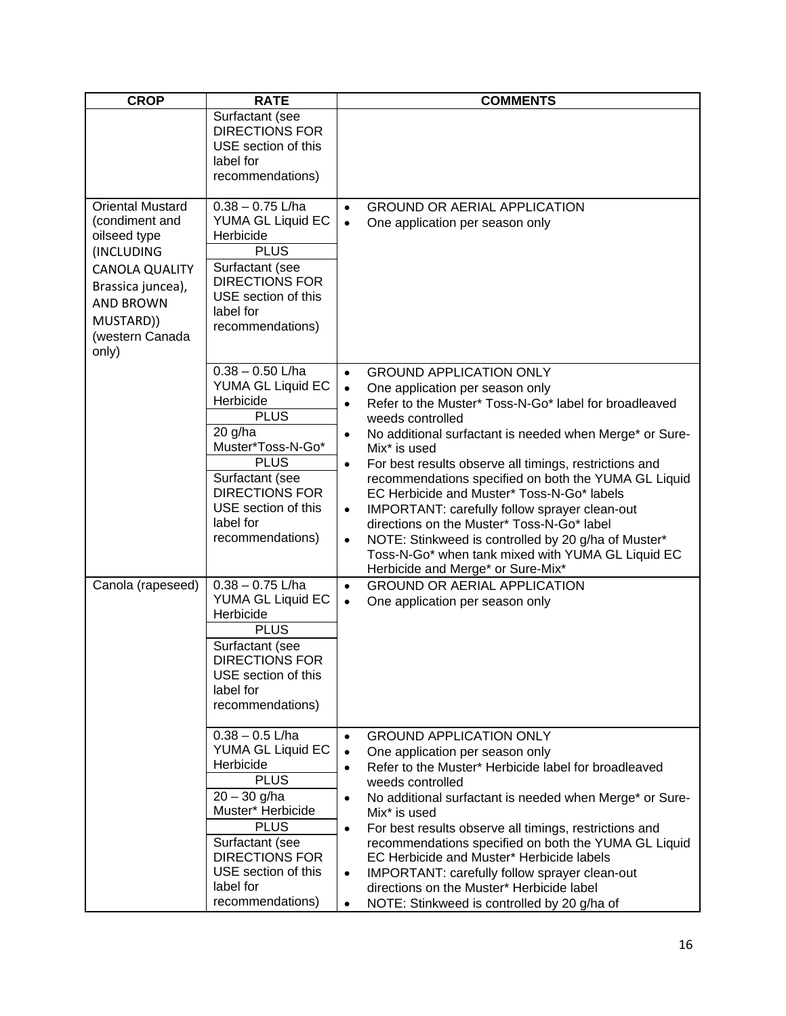| <b>CROP</b>                                                                                                                                                                        | <b>RATE</b>                                                                                                                                                                                                                                                                                                                                                                                         | <b>COMMENTS</b>                                                                                                                                                                                                                                                                                                                                                                                                                                                                                                                                                                                                                                                                                                                                                                                                                          |
|------------------------------------------------------------------------------------------------------------------------------------------------------------------------------------|-----------------------------------------------------------------------------------------------------------------------------------------------------------------------------------------------------------------------------------------------------------------------------------------------------------------------------------------------------------------------------------------------------|------------------------------------------------------------------------------------------------------------------------------------------------------------------------------------------------------------------------------------------------------------------------------------------------------------------------------------------------------------------------------------------------------------------------------------------------------------------------------------------------------------------------------------------------------------------------------------------------------------------------------------------------------------------------------------------------------------------------------------------------------------------------------------------------------------------------------------------|
|                                                                                                                                                                                    | Surfactant (see<br><b>DIRECTIONS FOR</b><br>USE section of this<br>label for<br>recommendations)                                                                                                                                                                                                                                                                                                    |                                                                                                                                                                                                                                                                                                                                                                                                                                                                                                                                                                                                                                                                                                                                                                                                                                          |
| <b>Oriental Mustard</b><br>(condiment and<br>oilseed type<br>(INCLUDING<br><b>CANOLA QUALITY</b><br>Brassica juncea),<br><b>AND BROWN</b><br>MUSTARD))<br>(western Canada<br>only) | $0.38 - 0.75$ L/ha<br>YUMA GL Liquid EC<br>Herbicide<br><b>PLUS</b><br>Surfactant (see<br><b>DIRECTIONS FOR</b><br>USE section of this<br>label for<br>recommendations)                                                                                                                                                                                                                             | <b>GROUND OR AERIAL APPLICATION</b><br>$\bullet$<br>One application per season only<br>$\bullet$                                                                                                                                                                                                                                                                                                                                                                                                                                                                                                                                                                                                                                                                                                                                         |
| Canola (rapeseed)                                                                                                                                                                  | $0.38 - 0.50$ L/ha<br>YUMA GL Liquid EC<br>Herbicide<br><b>PLUS</b><br>$20$ g/ha<br>Muster*Toss-N-Go*<br><b>PLUS</b><br>Surfactant (see<br><b>DIRECTIONS FOR</b><br>USE section of this<br>label for<br>recommendations)<br>$0.38 - 0.75$ L/ha<br>YUMA GL Liquid EC<br>Herbicide<br><b>PLUS</b><br>Surfactant (see<br><b>DIRECTIONS FOR</b><br>USE section of this<br>label for<br>recommendations) | <b>GROUND APPLICATION ONLY</b><br>$\bullet$<br>One application per season only<br>$\bullet$<br>Refer to the Muster* Toss-N-Go* label for broadleaved<br>$\bullet$<br>weeds controlled<br>No additional surfactant is needed when Merge* or Sure-<br>$\bullet$<br>Mix* is used<br>For best results observe all timings, restrictions and<br>$\bullet$<br>recommendations specified on both the YUMA GL Liquid<br>EC Herbicide and Muster* Toss-N-Go* labels<br>IMPORTANT: carefully follow sprayer clean-out<br>$\bullet$<br>directions on the Muster* Toss-N-Go* label<br>NOTE: Stinkweed is controlled by 20 g/ha of Muster*<br>$\bullet$<br>Toss-N-Go* when tank mixed with YUMA GL Liquid EC<br>Herbicide and Merge* or Sure-Mix*<br><b>GROUND OR AERIAL APPLICATION</b><br>$\bullet$<br>One application per season only<br>$\bullet$ |
|                                                                                                                                                                                    | $0.38 - 0.5$ L/ha<br>YUMA GL Liquid EC<br>Herbicide<br><b>PLUS</b><br>$20 - 30$ g/ha<br>Muster* Herbicide<br><b>PLUS</b><br>Surfactant (see<br><b>DIRECTIONS FOR</b><br>USE section of this<br>label for<br>recommendations)                                                                                                                                                                        | <b>GROUND APPLICATION ONLY</b><br>$\bullet$<br>One application per season only<br>$\bullet$<br>Refer to the Muster* Herbicide label for broadleaved<br>$\bullet$<br>weeds controlled<br>No additional surfactant is needed when Merge* or Sure-<br>Mix* is used<br>For best results observe all timings, restrictions and<br>$\bullet$<br>recommendations specified on both the YUMA GL Liquid<br>EC Herbicide and Muster* Herbicide labels<br>IMPORTANT: carefully follow sprayer clean-out<br>$\bullet$<br>directions on the Muster* Herbicide label<br>NOTE: Stinkweed is controlled by 20 g/ha of                                                                                                                                                                                                                                    |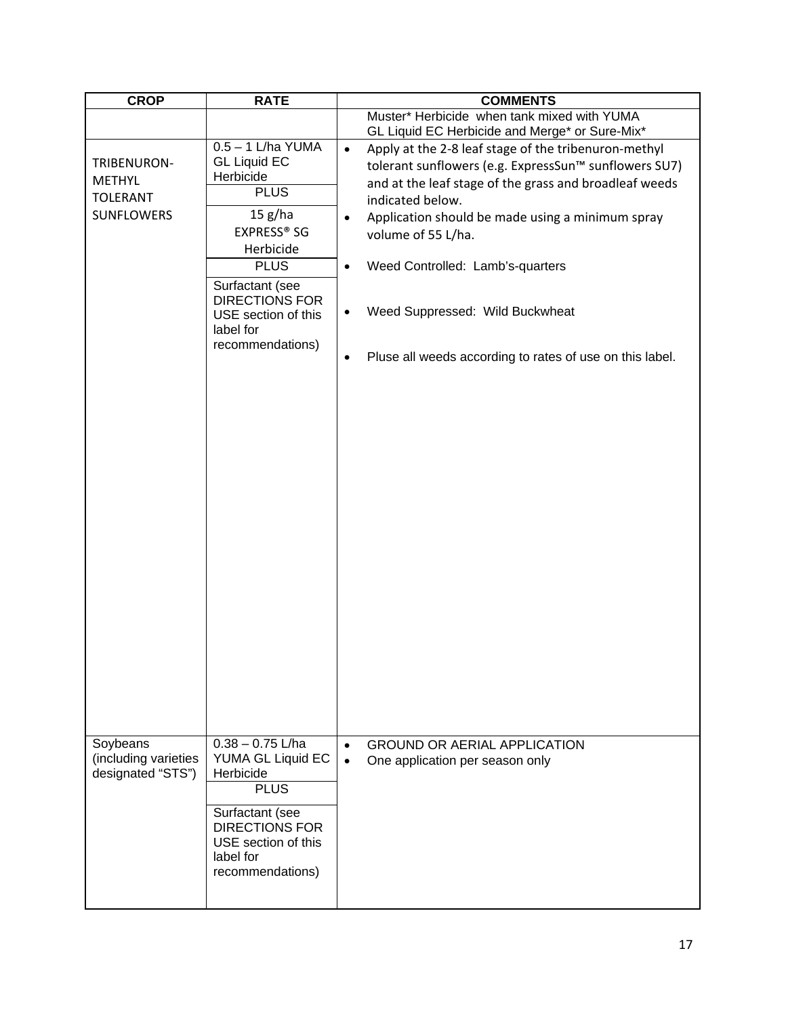| <b>CROP</b>                                                          | <b>RATE</b>                                                                                                                                                                                                                             | <b>COMMENTS</b>                                                                                                                                                                                                                                                                                                                                                                                                                                              |
|----------------------------------------------------------------------|-----------------------------------------------------------------------------------------------------------------------------------------------------------------------------------------------------------------------------------------|--------------------------------------------------------------------------------------------------------------------------------------------------------------------------------------------------------------------------------------------------------------------------------------------------------------------------------------------------------------------------------------------------------------------------------------------------------------|
|                                                                      |                                                                                                                                                                                                                                         | Muster* Herbicide when tank mixed with YUMA<br>GL Liquid EC Herbicide and Merge* or Sure-Mix*                                                                                                                                                                                                                                                                                                                                                                |
| TRIBENURON-<br><b>METHYL</b><br><b>TOLERANT</b><br><b>SUNFLOWERS</b> | $0.5 - 1$ L/ha YUMA<br><b>GL Liquid EC</b><br>Herbicide<br><b>PLUS</b><br>15 g/ha<br><b>EXPRESS® SG</b><br>Herbicide<br><b>PLUS</b><br>Surfactant (see<br><b>DIRECTIONS FOR</b><br>USE section of this<br>label for<br>recommendations) | Apply at the 2-8 leaf stage of the tribenuron-methyl<br>$\bullet$<br>tolerant sunflowers (e.g. ExpressSun™ sunflowers SU7)<br>and at the leaf stage of the grass and broadleaf weeds<br>indicated below.<br>Application should be made using a minimum spray<br>$\bullet$<br>volume of 55 L/ha.<br>Weed Controlled: Lamb's-quarters<br>$\bullet$<br>Weed Suppressed: Wild Buckwheat<br>Pluse all weeds according to rates of use on this label.<br>$\bullet$ |
| Soybeans<br>(including varieties<br>designated "STS")                | $0.38 - 0.75$ L/ha<br>YUMA GL Liquid EC<br>Herbicide<br><b>PLUS</b><br>Surfactant (see<br><b>DIRECTIONS FOR</b><br>USE section of this<br>label for<br>recommendations)                                                                 | <b>GROUND OR AERIAL APPLICATION</b><br>$\bullet$<br>One application per season only<br>$\bullet$                                                                                                                                                                                                                                                                                                                                                             |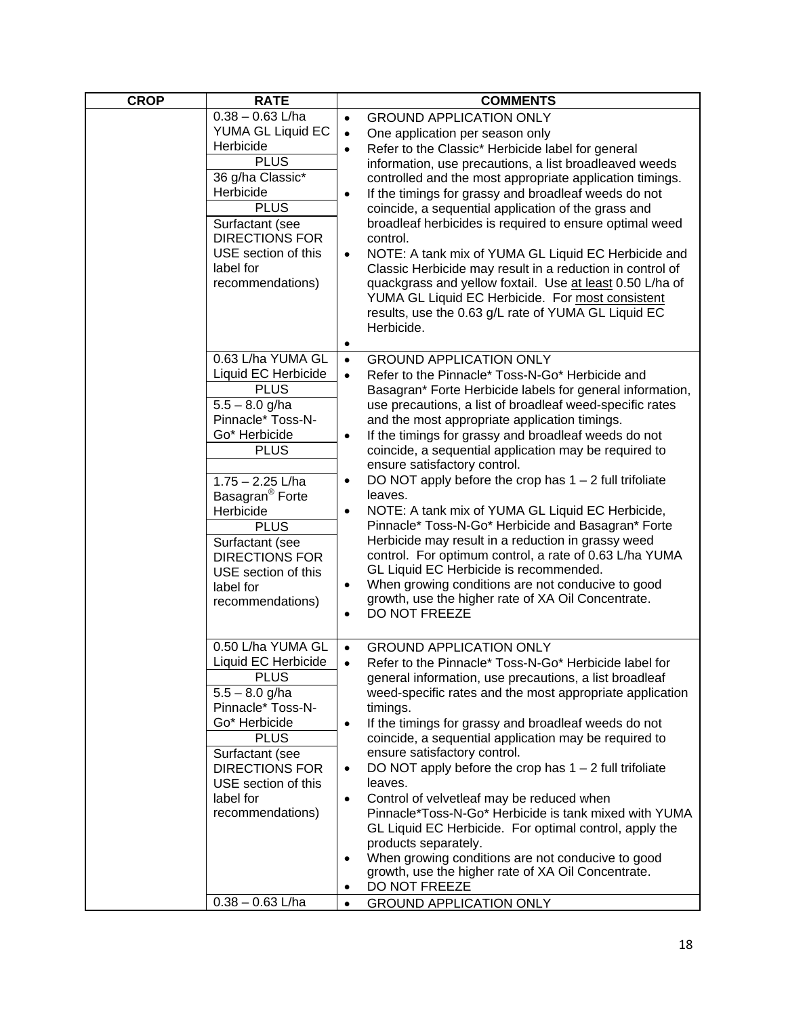| <b>CROP</b> | <b>RATE</b>                                                                                                                                                                                                                                                | <b>COMMENTS</b>                                                                                                                                                                                                                                                                                                                                                                                                                                                                                                                                                                                                                                                                                                                                                                                                   |
|-------------|------------------------------------------------------------------------------------------------------------------------------------------------------------------------------------------------------------------------------------------------------------|-------------------------------------------------------------------------------------------------------------------------------------------------------------------------------------------------------------------------------------------------------------------------------------------------------------------------------------------------------------------------------------------------------------------------------------------------------------------------------------------------------------------------------------------------------------------------------------------------------------------------------------------------------------------------------------------------------------------------------------------------------------------------------------------------------------------|
|             | $0.38 - 0.63$ L/ha<br>YUMA GL Liquid EC<br>Herbicide<br><b>PLUS</b><br>36 g/ha Classic*<br>Herbicide<br><b>PLUS</b><br>Surfactant (see<br><b>DIRECTIONS FOR</b><br>USE section of this<br>label for<br>recommendations)                                    | <b>GROUND APPLICATION ONLY</b><br>$\bullet$<br>One application per season only<br>$\bullet$<br>Refer to the Classic* Herbicide label for general<br>$\bullet$<br>information, use precautions, a list broadleaved weeds<br>controlled and the most appropriate application timings.<br>If the timings for grassy and broadleaf weeds do not<br>$\bullet$<br>coincide, a sequential application of the grass and<br>broadleaf herbicides is required to ensure optimal weed<br>control.<br>NOTE: A tank mix of YUMA GL Liquid EC Herbicide and<br>$\bullet$<br>Classic Herbicide may result in a reduction in control of<br>quackgrass and yellow foxtail. Use at least 0.50 L/ha of<br>YUMA GL Liquid EC Herbicide. For most consistent<br>results, use the 0.63 g/L rate of YUMA GL Liquid EC<br>Herbicide.<br>٠ |
|             | 0.63 L/ha YUMA GL<br>Liquid EC Herbicide<br><b>PLUS</b>                                                                                                                                                                                                    | <b>GROUND APPLICATION ONLY</b><br>$\bullet$<br>Refer to the Pinnacle* Toss-N-Go* Herbicide and<br>$\bullet$<br>Basagran* Forte Herbicide labels for general information,                                                                                                                                                                                                                                                                                                                                                                                                                                                                                                                                                                                                                                          |
|             | $5.5 - 8.0$ g/ha<br>Pinnacle* Toss-N-<br>Go* Herbicide<br><b>PLUS</b><br>$1.75 - 2.25$ L/ha<br>Basagran <sup>®</sup> Forte<br>Herbicide<br><b>PLUS</b><br>Surfactant (see<br><b>DIRECTIONS FOR</b><br>USE section of this<br>label for<br>recommendations) | use precautions, a list of broadleaf weed-specific rates<br>and the most appropriate application timings.<br>If the timings for grassy and broadleaf weeds do not<br>$\bullet$<br>coincide, a sequential application may be required to<br>ensure satisfactory control.<br>DO NOT apply before the crop has $1 - 2$ full trifoliate<br>$\bullet$<br>leaves.<br>NOTE: A tank mix of YUMA GL Liquid EC Herbicide,<br>$\bullet$<br>Pinnacle* Toss-N-Go* Herbicide and Basagran* Forte<br>Herbicide may result in a reduction in grassy weed<br>control. For optimum control, a rate of 0.63 L/ha YUMA<br>GL Liquid EC Herbicide is recommended.<br>When growing conditions are not conducive to good<br>$\bullet$<br>growth, use the higher rate of XA Oil Concentrate.<br><b>DO NOT FREEZE</b><br>$\bullet$         |
|             | 0.50 L/ha YUMA GL<br>Liquid EC Herbicide<br><b>PLUS</b><br>$5.5 - 8.0$ g/ha<br>Pinnacle* Toss-N-<br>Go* Herbicide<br><b>PLUS</b><br>Surfactant (see<br><b>DIRECTIONS FOR</b>                                                                               | <b>GROUND APPLICATION ONLY</b><br>Refer to the Pinnacle* Toss-N-Go* Herbicide label for<br>general information, use precautions, a list broadleaf<br>weed-specific rates and the most appropriate application<br>timings.<br>If the timings for grassy and broadleaf weeds do not<br>٠<br>coincide, a sequential application may be required to<br>ensure satisfactory control.<br>DO NOT apply before the crop has $1 - 2$ full trifoliate<br>$\bullet$                                                                                                                                                                                                                                                                                                                                                          |
|             | USE section of this<br>label for<br>recommendations)<br>$0.38 - 0.63$ L/ha                                                                                                                                                                                 | leaves.<br>Control of velvetleaf may be reduced when<br>٠<br>Pinnacle*Toss-N-Go* Herbicide is tank mixed with YUMA<br>GL Liquid EC Herbicide. For optimal control, apply the<br>products separately.<br>When growing conditions are not conducive to good<br>٠<br>growth, use the higher rate of XA Oil Concentrate.<br>DO NOT FREEZE<br>٠<br><b>GROUND APPLICATION ONLY</b><br>$\bullet$                                                                                                                                                                                                                                                                                                                                                                                                                         |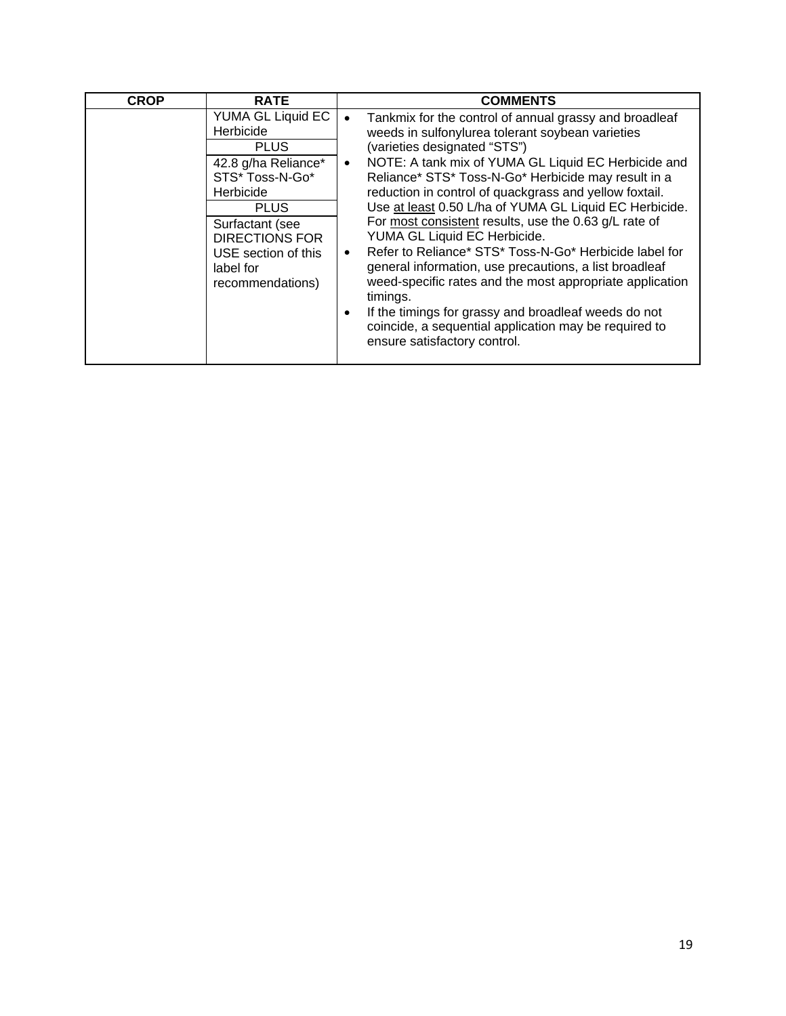| <b>CROP</b> | <b>RATE</b>                                                                                                                                                                                                             | <b>COMMENTS</b>                                                                                                                                                                                                                                                                                                                                                                                                                                                                                                                                                                                                                                                                                                                                                                                                                              |
|-------------|-------------------------------------------------------------------------------------------------------------------------------------------------------------------------------------------------------------------------|----------------------------------------------------------------------------------------------------------------------------------------------------------------------------------------------------------------------------------------------------------------------------------------------------------------------------------------------------------------------------------------------------------------------------------------------------------------------------------------------------------------------------------------------------------------------------------------------------------------------------------------------------------------------------------------------------------------------------------------------------------------------------------------------------------------------------------------------|
|             | YUMA GL Liquid EC<br>Herbicide<br><b>PLUS</b><br>42.8 g/ha Reliance*<br>STS* Toss-N-Go*<br>Herbicide<br><b>PLUS</b><br>Surfactant (see<br><b>DIRECTIONS FOR</b><br>USE section of this<br>label for<br>recommendations) | Tankmix for the control of annual grassy and broadleaf<br>weeds in sulfonylurea tolerant soybean varieties<br>(varieties designated "STS")<br>NOTE: A tank mix of YUMA GL Liquid EC Herbicide and<br>$\bullet$<br>Reliance* STS* Toss-N-Go* Herbicide may result in a<br>reduction in control of quackgrass and yellow foxtail.<br>Use at least 0.50 L/ha of YUMA GL Liquid EC Herbicide.<br>For most consistent results, use the 0.63 g/L rate of<br>YUMA GL Liquid EC Herbicide.<br>Refer to Reliance* STS* Toss-N-Go* Herbicide label for<br>$\bullet$<br>general information, use precautions, a list broadleaf<br>weed-specific rates and the most appropriate application<br>timings.<br>If the timings for grassy and broadleaf weeds do not<br>coincide, a sequential application may be required to<br>ensure satisfactory control. |
|             |                                                                                                                                                                                                                         |                                                                                                                                                                                                                                                                                                                                                                                                                                                                                                                                                                                                                                                                                                                                                                                                                                              |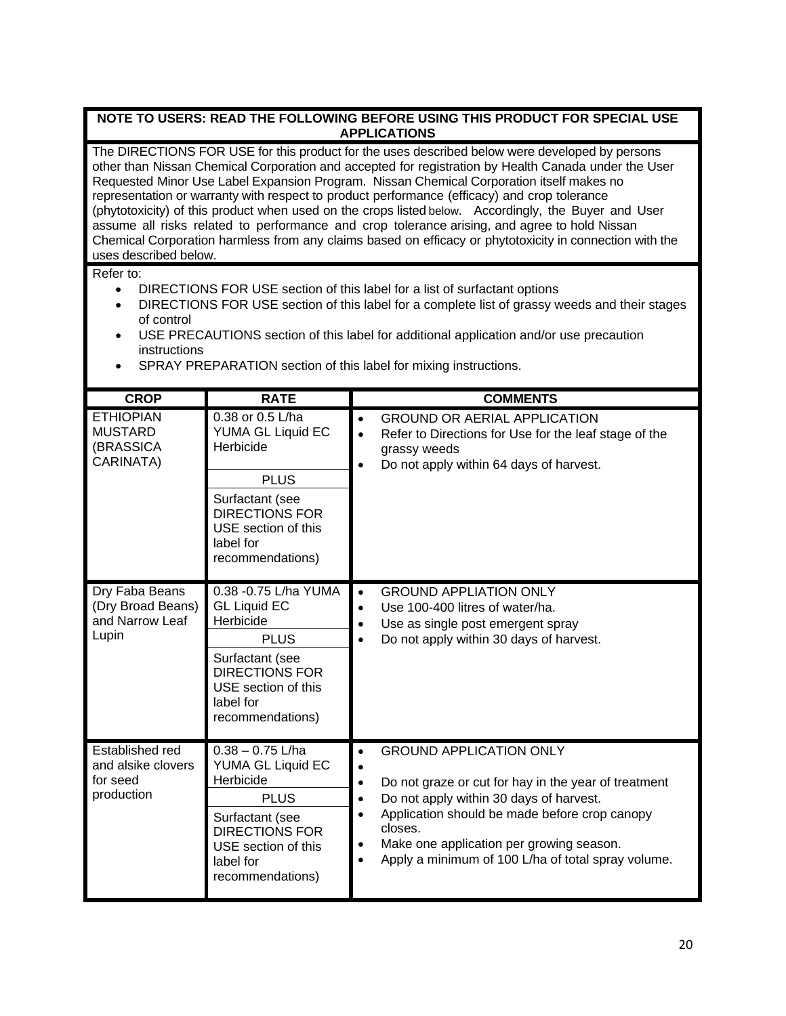## **NOTE TO USERS: READ THE FOLLOWING BEFORE USING THIS PRODUCT FOR SPECIAL USE APPLICATIONS**

The DIRECTIONS FOR USE for this product for the uses described below were developed by persons other than Nissan Chemical Corporation and accepted for registration by Health Canada under the User Requested Minor Use Label Expansion Program. Nissan Chemical Corporation itself makes no representation or warranty with respect to product performance (efficacy) and crop tolerance (phytotoxicity) of this product when used on the crops listed below. Accordingly, the Buyer and User assume all risks related to performance and crop tolerance arising, and agree to hold Nissan Chemical Corporation harmless from any claims based on efficacy or phytotoxicity in connection with the uses described below.

#### Refer to:

- DIRECTIONS FOR USE section of this label for a list of surfactant options
- DIRECTIONS FOR USE section of this label for a complete list of grassy weeds and their stages of control
- USE PRECAUTIONS section of this label for additional application and/or use precaution instructions
- SPRAY PREPARATION section of this label for mixing instructions.

| <b>CROP</b>                                                     | <b>RATE</b>                                                                                                                                                                 | <b>COMMENTS</b>                                                                                                                                                                                                                                                                                                                             |
|-----------------------------------------------------------------|-----------------------------------------------------------------------------------------------------------------------------------------------------------------------------|---------------------------------------------------------------------------------------------------------------------------------------------------------------------------------------------------------------------------------------------------------------------------------------------------------------------------------------------|
| <b>ETHIOPIAN</b><br><b>MUSTARD</b><br>(BRASSICA<br>CARINATA)    | 0.38 or 0.5 L/ha<br>YUMA GL Liquid EC<br>Herbicide<br><b>PLUS</b>                                                                                                           | <b>GROUND OR AERIAL APPLICATION</b><br>$\bullet$<br>Refer to Directions for Use for the leaf stage of the<br>grassy weeds<br>Do not apply within 64 days of harvest.                                                                                                                                                                        |
|                                                                 | Surfactant (see<br><b>DIRECTIONS FOR</b><br>USE section of this<br>label for<br>recommendations)                                                                            |                                                                                                                                                                                                                                                                                                                                             |
| Dry Faba Beans<br>(Dry Broad Beans)<br>and Narrow Leaf<br>Lupin | 0.38 -0.75 L/ha YUMA<br><b>GL Liquid EC</b><br>Herbicide<br><b>PLUS</b><br>Surfactant (see<br><b>DIRECTIONS FOR</b><br>USE section of this<br>label for<br>recommendations) | <b>GROUND APPLIATION ONLY</b><br>$\bullet$<br>Use 100-400 litres of water/ha.<br>Use as single post emergent spray<br>Do not apply within 30 days of harvest.<br>$\bullet$                                                                                                                                                                  |
| Established red<br>and alsike clovers<br>for seed<br>production | $0.38 - 0.75$ L/ha<br>YUMA GL Liquid EC<br>Herbicide<br><b>PLUS</b><br>Surfactant (see<br><b>DIRECTIONS FOR</b><br>USE section of this<br>label for<br>recommendations)     | <b>GROUND APPLICATION ONLY</b><br>٠<br>Do not graze or cut for hay in the year of treatment<br>$\bullet$<br>Do not apply within 30 days of harvest.<br>$\bullet$<br>Application should be made before crop canopy<br>$\bullet$<br>closes.<br>Make one application per growing season.<br>Apply a minimum of 100 L/ha of total spray volume. |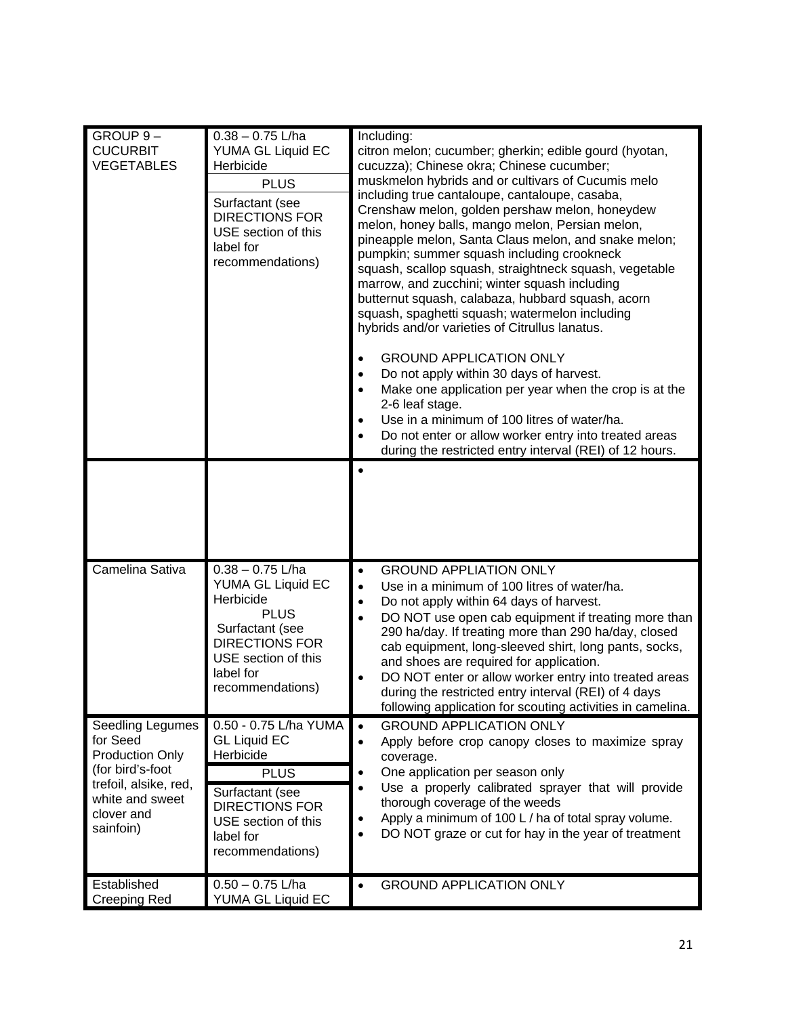| GROUP <sub>9</sub> -<br><b>CUCURBIT</b><br><b>VEGETABLES</b>                                                                                      | $0.38 - 0.75$ L/ha<br>YUMA GL Liquid EC<br>Herbicide<br><b>PLUS</b><br>Surfactant (see<br><b>DIRECTIONS FOR</b><br>USE section of this<br>label for<br>recommendations)      | Including:<br>citron melon; cucumber; gherkin; edible gourd (hyotan,<br>cucuzza); Chinese okra; Chinese cucumber;<br>muskmelon hybrids and or cultivars of Cucumis melo<br>including true cantaloupe, cantaloupe, casaba,<br>Crenshaw melon, golden pershaw melon, honeydew<br>melon, honey balls, mango melon, Persian melon,<br>pineapple melon, Santa Claus melon, and snake melon;<br>pumpkin; summer squash including crookneck<br>squash, scallop squash, straightneck squash, vegetable<br>marrow, and zucchini; winter squash including<br>butternut squash, calabaza, hubbard squash, acorn<br>squash, spaghetti squash; watermelon including<br>hybrids and/or varieties of Citrullus lanatus.<br><b>GROUND APPLICATION ONLY</b><br>Do not apply within 30 days of harvest.<br>Make one application per year when the crop is at the<br>2-6 leaf stage.<br>Use in a minimum of 100 litres of water/ha.<br>Do not enter or allow worker entry into treated areas<br>during the restricted entry interval (REI) of 12 hours. |
|---------------------------------------------------------------------------------------------------------------------------------------------------|------------------------------------------------------------------------------------------------------------------------------------------------------------------------------|--------------------------------------------------------------------------------------------------------------------------------------------------------------------------------------------------------------------------------------------------------------------------------------------------------------------------------------------------------------------------------------------------------------------------------------------------------------------------------------------------------------------------------------------------------------------------------------------------------------------------------------------------------------------------------------------------------------------------------------------------------------------------------------------------------------------------------------------------------------------------------------------------------------------------------------------------------------------------------------------------------------------------------------|
| Camelina Sativa                                                                                                                                   | $0.38 - 0.75$ L/ha<br>YUMA GL Liquid EC<br>Herbicide<br><b>PLUS</b><br>Surfactant (see<br><b>DIRECTIONS FOR</b><br>USE section of this<br>label for<br>recommendations)      | <b>GROUND APPLIATION ONLY</b><br>$\bullet$<br>Use in a minimum of 100 litres of water/ha.<br>$\bullet$<br>Do not apply within 64 days of harvest.<br>$\bullet$<br>DO NOT use open cab equipment if treating more than<br>$\bullet$<br>290 ha/day. If treating more than 290 ha/day, closed<br>cab equipment, long-sleeved shirt, long pants, socks,<br>and shoes are required for application.<br>DO NOT enter or allow worker entry into treated areas<br>during the restricted entry interval (REI) of 4 days<br>following application for scouting activities in camelina.                                                                                                                                                                                                                                                                                                                                                                                                                                                        |
| Seedling Legumes<br>for Seed<br><b>Production Only</b><br>(for bird's-foot<br>trefoil, alsike, red,<br>white and sweet<br>clover and<br>sainfoin) | 0.50 - 0.75 L/ha YUMA<br><b>GL Liquid EC</b><br>Herbicide<br><b>PLUS</b><br>Surfactant (see<br><b>DIRECTIONS FOR</b><br>USE section of this<br>label for<br>recommendations) | <b>GROUND APPLICATION ONLY</b><br>$\bullet$<br>Apply before crop canopy closes to maximize spray<br>$\bullet$<br>coverage.<br>One application per season only<br>$\bullet$<br>Use a properly calibrated sprayer that will provide<br>$\bullet$<br>thorough coverage of the weeds<br>Apply a minimum of 100 L / ha of total spray volume.<br>$\bullet$<br>DO NOT graze or cut for hay in the year of treatment<br>$\bullet$                                                                                                                                                                                                                                                                                                                                                                                                                                                                                                                                                                                                           |
| Established<br><b>Creeping Red</b>                                                                                                                | $0.50 - 0.75$ L/ha<br>YUMA GL Liquid EC                                                                                                                                      | <b>GROUND APPLICATION ONLY</b>                                                                                                                                                                                                                                                                                                                                                                                                                                                                                                                                                                                                                                                                                                                                                                                                                                                                                                                                                                                                       |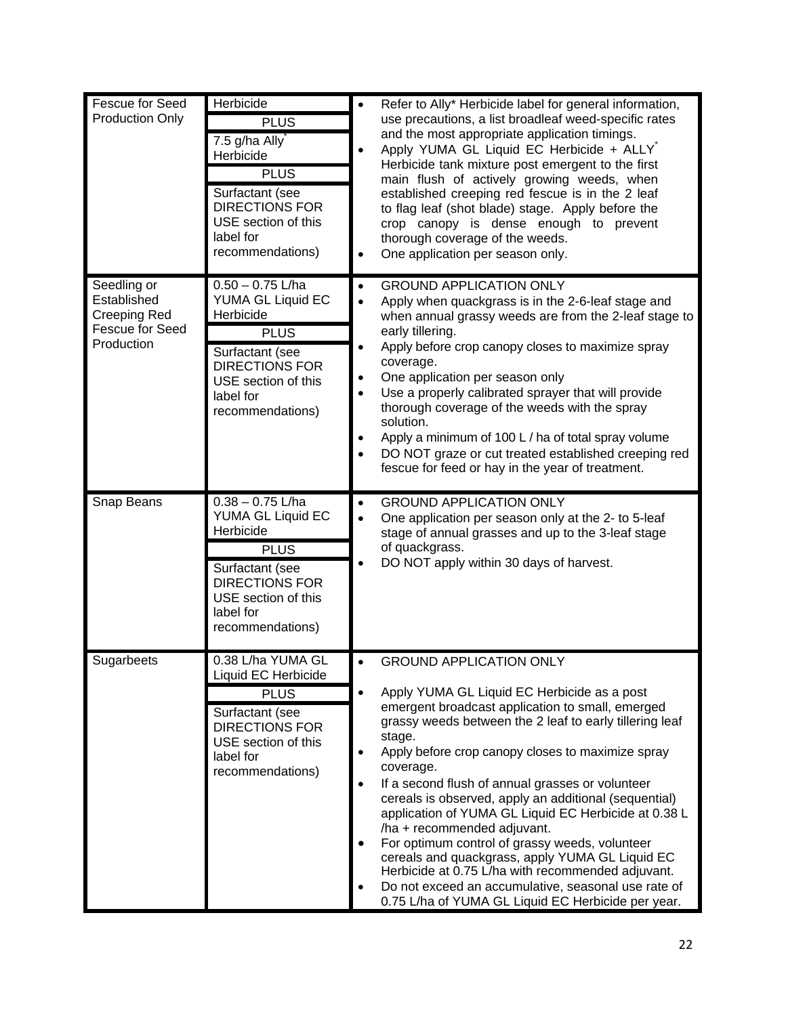| <b>Fescue for Seed</b><br>Production Only                                                 | Herbicide<br><b>PLUS</b><br>7.5 g/ha Ally<br>Herbicide<br><b>PLUS</b><br>Surfactant (see<br><b>DIRECTIONS FOR</b><br>USE section of this<br>label for<br>recommendations) | Refer to Ally* Herbicide label for general information,<br>$\bullet$<br>use precautions, a list broadleaf weed-specific rates<br>and the most appropriate application timings.<br>Apply YUMA GL Liquid EC Herbicide + ALLY<br>$\bullet$<br>Herbicide tank mixture post emergent to the first<br>main flush of actively growing weeds, when<br>established creeping red fescue is in the 2 leaf<br>to flag leaf (shot blade) stage. Apply before the<br>crop canopy is dense enough to prevent<br>thorough coverage of the weeds.<br>One application per season only.                                                                                                                                                                                                                       |
|-------------------------------------------------------------------------------------------|---------------------------------------------------------------------------------------------------------------------------------------------------------------------------|--------------------------------------------------------------------------------------------------------------------------------------------------------------------------------------------------------------------------------------------------------------------------------------------------------------------------------------------------------------------------------------------------------------------------------------------------------------------------------------------------------------------------------------------------------------------------------------------------------------------------------------------------------------------------------------------------------------------------------------------------------------------------------------------|
| Seedling or<br>Established<br><b>Creeping Red</b><br><b>Fescue for Seed</b><br>Production | $0.50 - 0.75$ L/ha<br>YUMA GL Liquid EC<br>Herbicide<br><b>PLUS</b><br>Surfactant (see<br><b>DIRECTIONS FOR</b><br>USE section of this<br>label for<br>recommendations)   | <b>GROUND APPLICATION ONLY</b><br>$\bullet$<br>Apply when quackgrass is in the 2-6-leaf stage and<br>$\bullet$<br>when annual grassy weeds are from the 2-leaf stage to<br>early tillering.<br>Apply before crop canopy closes to maximize spray<br>$\bullet$<br>coverage.<br>One application per season only<br>$\bullet$<br>Use a properly calibrated sprayer that will provide<br>thorough coverage of the weeds with the spray<br>solution.<br>Apply a minimum of 100 L / ha of total spray volume<br>$\bullet$<br>DO NOT graze or cut treated established creeping red<br>fescue for feed or hay in the year of treatment.                                                                                                                                                            |
| Snap Beans                                                                                | $0.38 - 0.75$ L/ha<br>YUMA GL Liquid EC<br>Herbicide<br><b>PLUS</b><br>Surfactant (see<br><b>DIRECTIONS FOR</b><br>USE section of this<br>label for<br>recommendations)   | <b>GROUND APPLICATION ONLY</b><br>$\bullet$<br>One application per season only at the 2- to 5-leaf<br>$\bullet$<br>stage of annual grasses and up to the 3-leaf stage<br>of quackgrass.<br>DO NOT apply within 30 days of harvest.<br>$\bullet$                                                                                                                                                                                                                                                                                                                                                                                                                                                                                                                                            |
| Sugarbeets                                                                                | 0.38 L/ha YUMA GL<br>Liquid EC Herbicide<br><b>PLUS</b><br>Surfactant (see<br><b>DIRECTIONS FOR</b><br>USE section of this<br>label for<br>recommendations)               | <b>GROUND APPLICATION ONLY</b><br>Apply YUMA GL Liquid EC Herbicide as a post<br>$\bullet$<br>emergent broadcast application to small, emerged<br>grassy weeds between the 2 leaf to early tillering leaf<br>stage.<br>Apply before crop canopy closes to maximize spray<br>$\bullet$<br>coverage.<br>If a second flush of annual grasses or volunteer<br>cereals is observed, apply an additional (sequential)<br>application of YUMA GL Liquid EC Herbicide at 0.38 L<br>/ha + recommended adjuvant.<br>For optimum control of grassy weeds, volunteer<br>cereals and quackgrass, apply YUMA GL Liquid EC<br>Herbicide at 0.75 L/ha with recommended adjuvant.<br>Do not exceed an accumulative, seasonal use rate of<br>$\bullet$<br>0.75 L/ha of YUMA GL Liquid EC Herbicide per year. |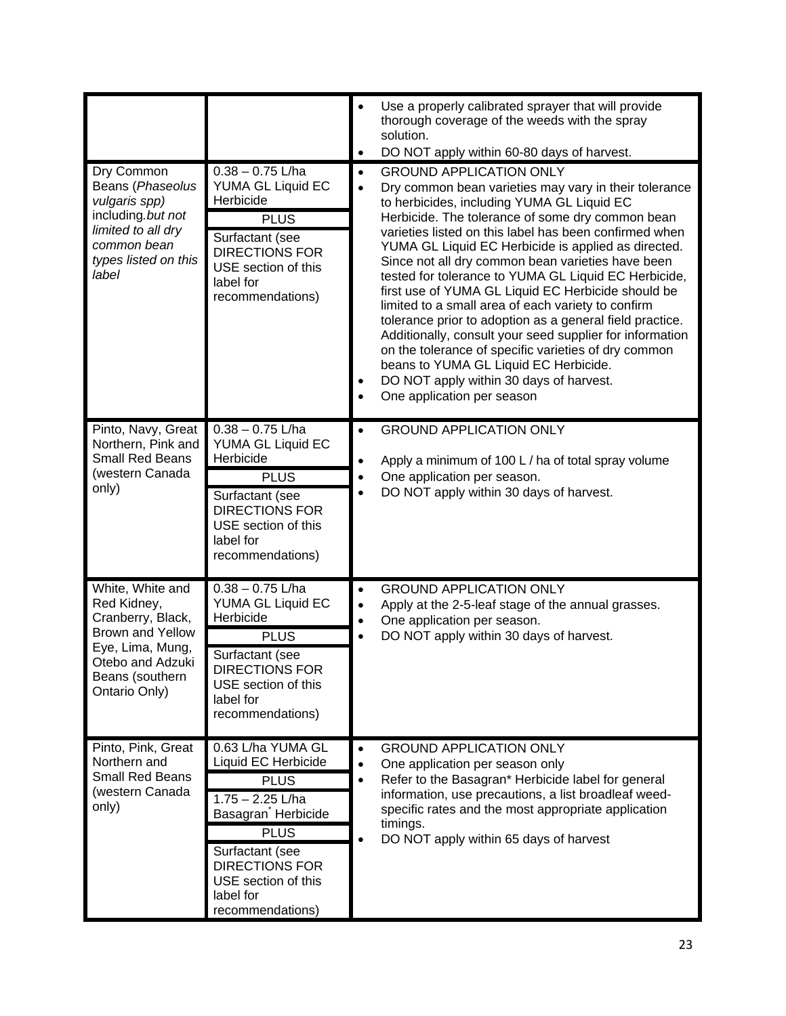| Dry Common<br>Beans (Phaseolus<br>vulgaris spp)<br>including.but not<br>limited to all dry<br>common bean<br>types listed on this<br>label           | $0.38 - 0.75$ L/ha<br>YUMA GL Liquid EC<br>Herbicide<br><b>PLUS</b><br>Surfactant (see<br><b>DIRECTIONS FOR</b><br>USE section of this<br>label for<br>recommendations)                                                | $\bullet$<br>$\bullet$<br>$\bullet$<br>$\bullet$<br>٠ | Use a properly calibrated sprayer that will provide<br>thorough coverage of the weeds with the spray<br>solution.<br>DO NOT apply within 60-80 days of harvest.<br><b>GROUND APPLICATION ONLY</b><br>Dry common bean varieties may vary in their tolerance<br>to herbicides, including YUMA GL Liquid EC<br>Herbicide. The tolerance of some dry common bean<br>varieties listed on this label has been confirmed when<br>YUMA GL Liquid EC Herbicide is applied as directed.<br>Since not all dry common bean varieties have been<br>tested for tolerance to YUMA GL Liquid EC Herbicide,<br>first use of YUMA GL Liquid EC Herbicide should be<br>limited to a small area of each variety to confirm<br>tolerance prior to adoption as a general field practice.<br>Additionally, consult your seed supplier for information<br>on the tolerance of specific varieties of dry common<br>beans to YUMA GL Liquid EC Herbicide.<br>DO NOT apply within 30 days of harvest.<br>One application per season |
|------------------------------------------------------------------------------------------------------------------------------------------------------|------------------------------------------------------------------------------------------------------------------------------------------------------------------------------------------------------------------------|-------------------------------------------------------|----------------------------------------------------------------------------------------------------------------------------------------------------------------------------------------------------------------------------------------------------------------------------------------------------------------------------------------------------------------------------------------------------------------------------------------------------------------------------------------------------------------------------------------------------------------------------------------------------------------------------------------------------------------------------------------------------------------------------------------------------------------------------------------------------------------------------------------------------------------------------------------------------------------------------------------------------------------------------------------------------------|
| Pinto, Navy, Great<br>Northern, Pink and<br>Small Red Beans<br>(western Canada<br>only)                                                              | $0.38 - 0.75$ L/ha<br>YUMA GL Liquid EC<br>Herbicide<br><b>PLUS</b><br>Surfactant (see<br><b>DIRECTIONS FOR</b><br>USE section of this<br>label for<br>recommendations)                                                | $\bullet$<br>٠<br>$\bullet$<br>$\bullet$              | <b>GROUND APPLICATION ONLY</b><br>Apply a minimum of 100 L / ha of total spray volume<br>One application per season.<br>DO NOT apply within 30 days of harvest.                                                                                                                                                                                                                                                                                                                                                                                                                                                                                                                                                                                                                                                                                                                                                                                                                                          |
| White, White and<br>Red Kidney,<br>Cranberry, Black,<br>Brown and Yellow<br>Eye, Lima, Mung,<br>Otebo and Adzuki<br>Beans (southern<br>Ontario Only) | $0.38 - 0.75$ L/ha<br>YUMA GL Liquid EC<br>Herbicide<br><b>PLUS</b><br>Surfactant (see<br><b>DIRECTIONS FOR</b><br>USE section of this<br>label for<br>recommendations)                                                | $\bullet$<br>$\bullet$<br>$\bullet$<br>$\bullet$      | <b>GROUND APPLICATION ONLY</b><br>Apply at the 2-5-leaf stage of the annual grasses.<br>One application per season.<br>DO NOT apply within 30 days of harvest.                                                                                                                                                                                                                                                                                                                                                                                                                                                                                                                                                                                                                                                                                                                                                                                                                                           |
| Pinto, Pink, Great<br>Northern and<br><b>Small Red Beans</b><br>(western Canada<br>only)                                                             | 0.63 L/ha YUMA GL<br>Liquid EC Herbicide<br><b>PLUS</b><br>$1.75 - 2.25$ L/ha<br>Basagran Herbicide<br><b>PLUS</b><br>Surfactant (see<br><b>DIRECTIONS FOR</b><br>USE section of this<br>label for<br>recommendations) | $\bullet$<br>$\bullet$<br>$\bullet$<br>$\bullet$      | <b>GROUND APPLICATION ONLY</b><br>One application per season only<br>Refer to the Basagran* Herbicide label for general<br>information, use precautions, a list broadleaf weed-<br>specific rates and the most appropriate application<br>timings.<br>DO NOT apply within 65 days of harvest                                                                                                                                                                                                                                                                                                                                                                                                                                                                                                                                                                                                                                                                                                             |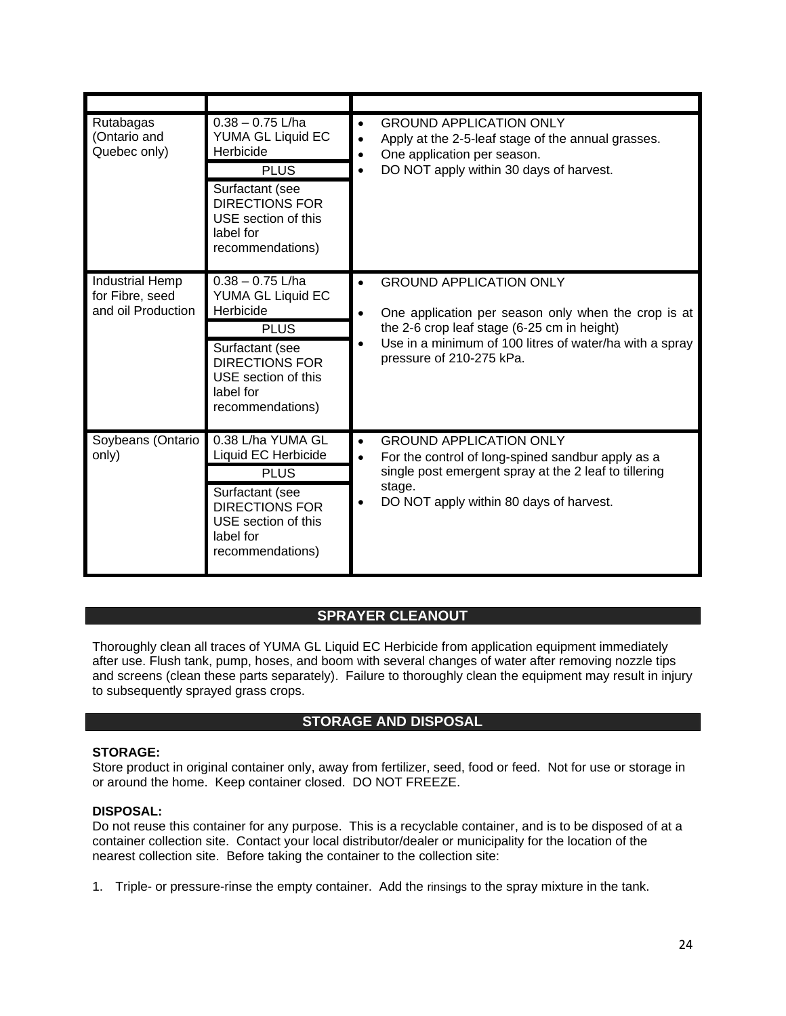| Rutabagas<br>(Ontario and<br>Quebec only)                       | $0.38 - 0.75$ L/ha<br>YUMA GL Liquid EC<br>Herbicide<br><b>PLUS</b><br>Surfactant (see<br><b>DIRECTIONS FOR</b><br>USE section of this<br>label for<br>recommendations) | <b>GROUND APPLICATION ONLY</b><br>$\bullet$<br>Apply at the 2-5-leaf stage of the annual grasses.<br>One application per season.<br>DO NOT apply within 30 days of harvest.                                                              |
|-----------------------------------------------------------------|-------------------------------------------------------------------------------------------------------------------------------------------------------------------------|------------------------------------------------------------------------------------------------------------------------------------------------------------------------------------------------------------------------------------------|
| <b>Industrial Hemp</b><br>for Fibre, seed<br>and oil Production | $0.38 - 0.75$ L/ha<br>YUMA GL Liquid EC<br>Herbicide<br><b>PLUS</b><br>Surfactant (see<br><b>DIRECTIONS FOR</b><br>USE section of this<br>label for<br>recommendations) | <b>GROUND APPLICATION ONLY</b><br>One application per season only when the crop is at<br>$\bullet$<br>the 2-6 crop leaf stage (6-25 cm in height)<br>Use in a minimum of 100 litres of water/ha with a spray<br>pressure of 210-275 kPa. |
| Soybeans (Ontario<br>only)                                      | 0.38 L/ha YUMA GL<br>Liquid EC Herbicide<br><b>PLUS</b><br>Surfactant (see<br><b>DIRECTIONS FOR</b><br>USE section of this<br>label for<br>recommendations)             | <b>GROUND APPLICATION ONLY</b><br>$\bullet$<br>For the control of long-spined sandbur apply as a<br>$\bullet$<br>single post emergent spray at the 2 leaf to tillering<br>stage.<br>DO NOT apply within 80 days of harvest.              |

## **SPRAYER CLEANOUT**

Thoroughly clean all traces of YUMA GL Liquid EC Herbicide from application equipment immediately after use. Flush tank, pump, hoses, and boom with several changes of water after removing nozzle tips and screens (clean these parts separately). Failure to thoroughly clean the equipment may result in injury to subsequently sprayed grass crops.

## **STORAGE AND DISPOSAL**

## **STORAGE:**

Store product in original container only, away from fertilizer, seed, food or feed. Not for use or storage in or around the home. Keep container closed. DO NOT FREEZE.

## **DISPOSAL:**

Do not reuse this container for any purpose. This is a recyclable container, and is to be disposed of at a container collection site. Contact your local distributor/dealer or municipality for the location of the nearest collection site. Before taking the container to the collection site:

1. Triple- or pressure-rinse the empty container. Add the rinsings to the spray mixture in the tank.